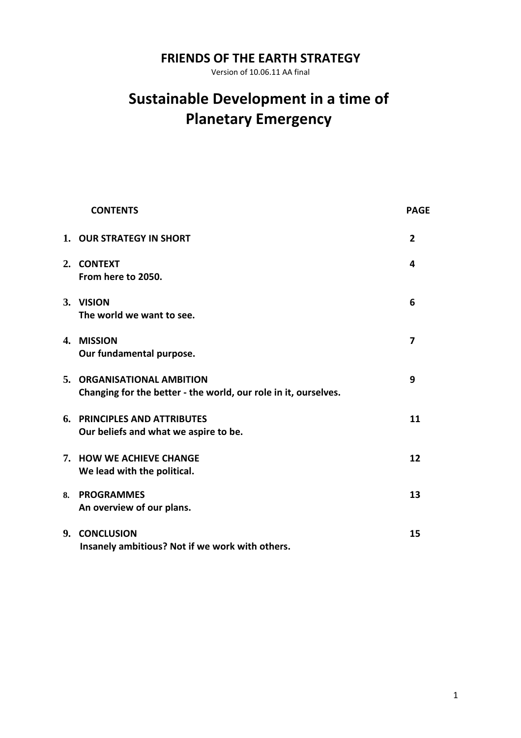# **FRIENDS OF THE EARTH STRATEGY**

Version of 10.06.11 AA final

# **Sustainable Development in a time of Planetary Emergency**

|    | <b>CONTENTS</b>                                                                               | <b>PAGE</b>    |
|----|-----------------------------------------------------------------------------------------------|----------------|
|    | 1. OUR STRATEGY IN SHORT                                                                      | $\overline{2}$ |
|    | 2. CONTEXT<br>From here to 2050.                                                              | 4              |
|    | 3. VISION<br>The world we want to see.                                                        | 6              |
|    | 4. MISSION<br>Our fundamental purpose.                                                        | $\overline{ }$ |
|    | 5. ORGANISATIONAL AMBITION<br>Changing for the better - the world, our role in it, ourselves. | 9              |
|    | 6. PRINCIPLES AND ATTRIBUTES<br>Our beliefs and what we aspire to be.                         | 11             |
|    | 7. HOW WE ACHIEVE CHANGE<br>We lead with the political.                                       | 12             |
| 8. | <b>PROGRAMMES</b><br>An overview of our plans.                                                | 13             |
| 9. | <b>CONCLUSION</b><br>Insanely ambitious? Not if we work with others.                          | 15             |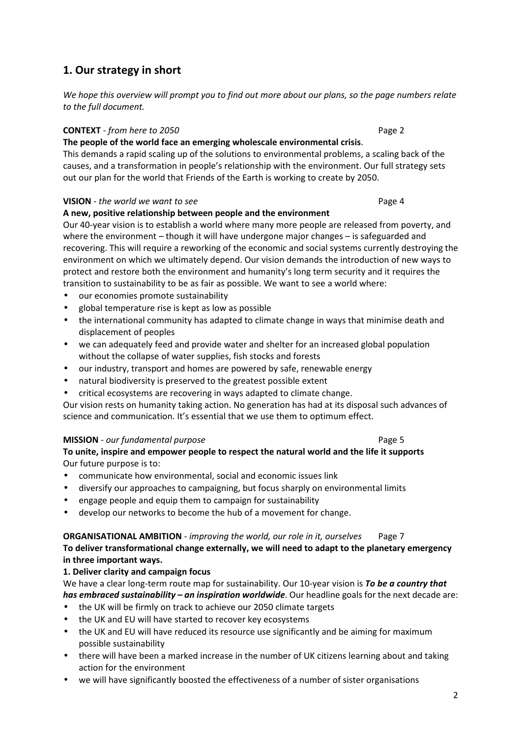# **1. Our strategy in short**

*We hope this overview will prompt you to find out more about our plans, so the page numbers relate to the full document.* 

#### **CONTEXT** *- from here to 2050* **Page 2 Page 2**

#### **The people of the world face an emerging wholescale environmental crisis**.

This demands a rapid scaling up of the solutions to environmental problems, a scaling back of the causes, and a transformation in people's relationship with the environment. Our full strategy sets out our plan for the world that Friends of the Earth is working to create by 2050.

#### **VISION** - the world we want to see **Page 4 Page 4**

#### **A new, positive relationship between people and the environment**

Our 40-year vision is to establish a world where many more people are released from poverty, and where the environment – though it will have undergone major changes – is safeguarded and recovering. This will require a reworking of the economic and social systems currently destroying the environment on which we ultimately depend. Our vision demands the introduction of new ways to protect and restore both the environment and humanity's long term security and it requires the transition to sustainability to be as fair as possible. We want to see a world where:

- our economies promote sustainability
- global temperature rise is kept as low as possible
- the international community has adapted to climate change in ways that minimise death and displacement of peoples
- we can adequately feed and provide water and shelter for an increased global population without the collapse of water supplies, fish stocks and forests
- our industry, transport and homes are powered by safe, renewable energy
- natural biodiversity is preserved to the greatest possible extent
- critical ecosystems are recovering in ways adapted to climate change.

Our vision rests on humanity taking action. No generation has had at its disposal such advances of science and communication. It's essential that we use them to optimum effect.

#### **MISSION** *- our fundamental purpose* **Page 5 Page 5**

#### **To unite, inspire and empower people to respect the natural world and the life it supports**  Our future purpose is to:

- communicate how environmental, social and economic issues link
- diversify our approaches to campaigning, but focus sharply on environmental limits
- engage people and equip them to campaign for sustainability
- develop our networks to become the hub of a movement for change.

#### **ORGANISATIONAL AMBITION** *- improving the world, our role in it, ourselves* Page 7

**To deliver transformational change externally, we will need to adapt to the planetary emergency in three important ways.** 

#### **1. Deliver clarity and campaign focus**

We have a clear long-term route map for sustainability. Our 10-year vision is *To be a country that has embraced sustainability – an inspiration worldwide*. Our headline goals for the next decade are:

- the UK will be firmly on track to achieve our 2050 climate targets
- the UK and EU will have started to recover key ecosystems
- the UK and EU will have reduced its resource use significantly and be aiming for maximum possible sustainability
- there will have been a marked increase in the number of UK citizens learning about and taking action for the environment
- we will have significantly boosted the effectiveness of a number of sister organisations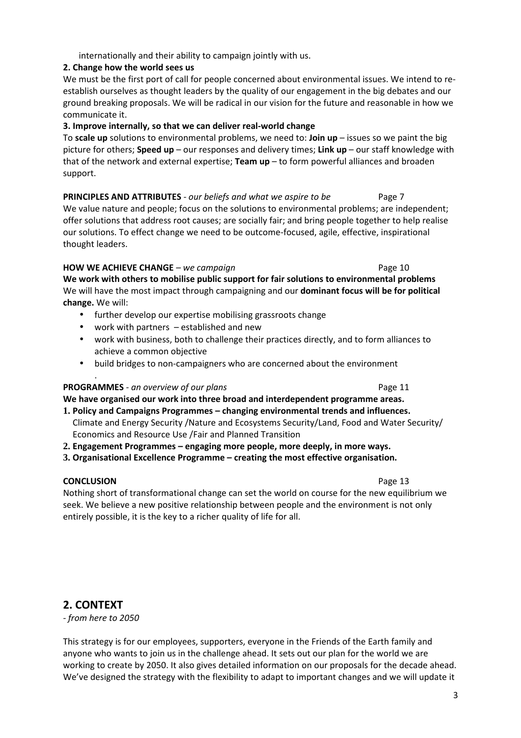#### internationally and their ability to campaign jointly with us.

#### **2. Change how the world sees us**

We must be the first port of call for people concerned about environmental issues. We intend to reestablish ourselves as thought leaders by the quality of our engagement in the big debates and our ground breaking proposals. We will be radical in our vision for the future and reasonable in how we communicate it.

#### **3. Improve internally, so that we can deliver real-world change**

To **scale up** solutions to environmental problems, we need to: **Join up** – issues so we paint the big picture for others; **Speed up** – our responses and delivery times; **Link up** – our staff knowledge with that of the network and external expertise; **Team up** – to form powerful alliances and broaden support.

# **PRINCIPLES AND ATTRIBUTES** *- our beliefs and what we aspire to be* Page 7

We value nature and people; focus on the solutions to environmental problems; are independent; offer solutions that address root causes; are socially fair; and bring people together to help realise our solutions. To effect change we need to be outcome-focused, agile, effective, inspirational thought leaders.

#### **HOW WE ACHIEVE CHANGE** *– we campaign* **Page 10** Page 10

**We work with others to mobilise public support for fair solutions to environmental problems**  We will have the most impact through campaigning and our **dominant focus will be for political change.** We will:

- further develop our expertise mobilising grassroots change
- work with partners established and new
- work with business, both to challenge their practices directly, and to form alliances to achieve a common objective
- build bridges to non-campaigners who are concerned about the environment

#### **PROGRAMMES** *- an overview of our plans* **Page 11 Page 11**

**We have organised our work into three broad and interdependent programme areas.** 

- **1. Policy and Campaigns Programmes changing environmental trends and influences.**  Climate and Energy Security /Nature and Ecosystems Security/Land, Food and Water Security/ Economics and Resource Use /Fair and Planned Transition
- **2. Engagement Programmes engaging more people, more deeply, in more ways.**
- **3. Organisational Excellence Programme creating the most effective organisation.**

#### **CONCLUSION Page 13**

.

Nothing short of transformational change can set the world on course for the new equilibrium we seek. We believe a new positive relationship between people and the environment is not only entirely possible, it is the key to a richer quality of life for all.

### **2. CONTEXT**

*- from here to 2050* 

This strategy is for our employees, supporters, everyone in the Friends of the Earth family and anyone who wants to join us in the challenge ahead. It sets out our plan for the world we are working to create by 2050. It also gives detailed information on our proposals for the decade ahead. We've designed the strategy with the flexibility to adapt to important changes and we will update it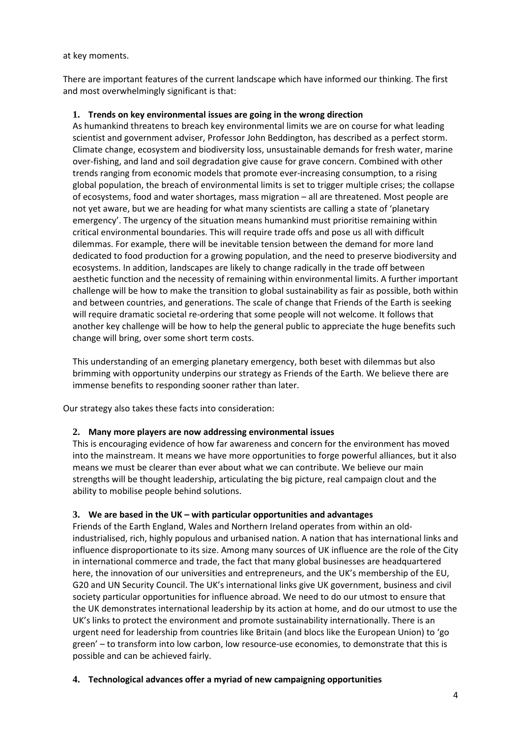at key moments.

There are important features of the current landscape which have informed our thinking. The first and most overwhelmingly significant is that:

#### **1. Trends on key environmental issues are going in the wrong direction**

As humankind threatens to breach key environmental limits we are on course for what leading scientist and government adviser, Professor John Beddington, has described as a perfect storm. Climate change, ecosystem and biodiversity loss, unsustainable demands for fresh water, marine over-fishing, and land and soil degradation give cause for grave concern. Combined with other trends ranging from economic models that promote ever-increasing consumption, to a rising global population, the breach of environmental limits is set to trigger multiple crises; the collapse of ecosystems, food and water shortages, mass migration – all are threatened. Most people are not yet aware, but we are heading for what many scientists are calling a state of 'planetary emergency'. The urgency of the situation means humankind must prioritise remaining within critical environmental boundaries. This will require trade offs and pose us all with difficult dilemmas. For example, there will be inevitable tension between the demand for more land dedicated to food production for a growing population, and the need to preserve biodiversity and ecosystems. In addition, landscapes are likely to change radically in the trade off between aesthetic function and the necessity of remaining within environmental limits. A further important challenge will be how to make the transition to global sustainability as fair as possible, both within and between countries, and generations. The scale of change that Friends of the Earth is seeking will require dramatic societal re-ordering that some people will not welcome. It follows that another key challenge will be how to help the general public to appreciate the huge benefits such change will bring, over some short term costs.

This understanding of an emerging planetary emergency, both beset with dilemmas but also brimming with opportunity underpins our strategy as Friends of the Earth. We believe there are immense benefits to responding sooner rather than later.

Our strategy also takes these facts into consideration:

#### **2. Many more players are now addressing environmental issues**

This is encouraging evidence of how far awareness and concern for the environment has moved into the mainstream. It means we have more opportunities to forge powerful alliances, but it also means we must be clearer than ever about what we can contribute. We believe our main strengths will be thought leadership, articulating the big picture, real campaign clout and the ability to mobilise people behind solutions.

#### **3. We are based in the UK – with particular opportunities and advantages**

Friends of the Earth England, Wales and Northern Ireland operates from within an oldindustrialised, rich, highly populous and urbanised nation. A nation that has international links and influence disproportionate to its size. Among many sources of UK influence are the role of the City in international commerce and trade, the fact that many global businesses are headquartered here, the innovation of our universities and entrepreneurs, and the UK's membership of the EU, G20 and UN Security Council. The UK's international links give UK government, business and civil society particular opportunities for influence abroad. We need to do our utmost to ensure that the UK demonstrates international leadership by its action at home, and do our utmost to use the UK's links to protect the environment and promote sustainability internationally. There is an urgent need for leadership from countries like Britain (and blocs like the European Union) to 'go green' – to transform into low carbon, low resource-use economies, to demonstrate that this is possible and can be achieved fairly.

#### **4. Technological advances offer a myriad of new campaigning opportunities**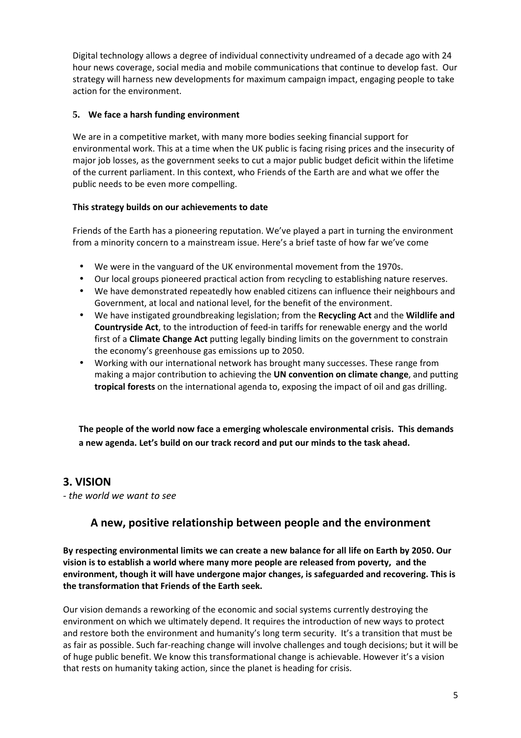Digital technology allows a degree of individual connectivity undreamed of a decade ago with 24 hour news coverage, social media and mobile communications that continue to develop fast. Our strategy will harness new developments for maximum campaign impact, engaging people to take action for the environment.

#### **5. We face a harsh funding environment**

We are in a competitive market, with many more bodies seeking financial support for environmental work. This at a time when the UK public is facing rising prices and the insecurity of major job losses, as the government seeks to cut a major public budget deficit within the lifetime of the current parliament. In this context, who Friends of the Earth are and what we offer the public needs to be even more compelling.

#### **This strategy builds on our achievements to date**

Friends of the Earth has a pioneering reputation. We've played a part in turning the environment from a minority concern to a mainstream issue. Here's a brief taste of how far we've come

- We were in the vanguard of the UK environmental movement from the 1970s.
- Our local groups pioneered practical action from recycling to establishing nature reserves.
- We have demonstrated repeatedly how enabled citizens can influence their neighbours and Government, at local and national level, for the benefit of the environment.
- We have instigated groundbreaking legislation; from the **Recycling Act** and the **Wildlife and Countryside Act**, to the introduction of feed-in tariffs for renewable energy and the world first of a **Climate Change Act** putting legally binding limits on the government to constrain the economy's greenhouse gas emissions up to 2050.
- Working with our international network has brought many successes. These range from making a major contribution to achieving the **UN convention on climate change**, and putting **tropical forests** on the international agenda to, exposing the impact of oil and gas drilling.

**The people of the world now face a emerging wholescale environmental crisis. This demands a new agenda. Let's build on our track record and put our minds to the task ahead.** 

# **3. VISION**

*- the world we want to see* 

# **A new, positive relationship between people and the environment**

**By respecting environmental limits we can create a new balance for all life on Earth by 2050. Our vision is to establish a world where many more people are released from poverty, and the environment, though it will have undergone major changes, is safeguarded and recovering. This is the transformation that Friends of the Earth seek.** 

Our vision demands a reworking of the economic and social systems currently destroying the environment on which we ultimately depend. It requires the introduction of new ways to protect and restore both the environment and humanity's long term security. It's a transition that must be as fair as possible. Such far-reaching change will involve challenges and tough decisions; but it will be of huge public benefit. We know this transformational change is achievable. However it's a vision that rests on humanity taking action, since the planet is heading for crisis.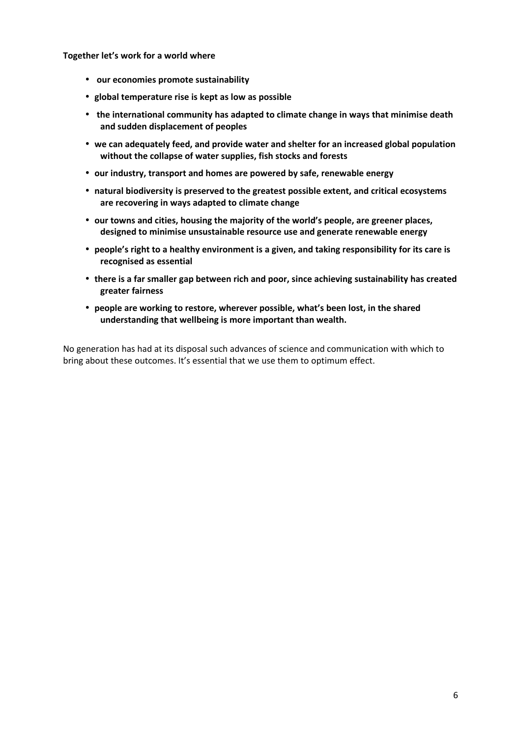**Together let's work for a world where** 

- **our economies promote sustainability**
- **global temperature rise is kept as low as possible**
- **the international community has adapted to climate change in ways that minimise death and sudden displacement of peoples**
- **we can adequately feed, and provide water and shelter for an increased global population without the collapse of water supplies, fish stocks and forests**
- **our industry, transport and homes are powered by safe, renewable energy**
- **natural biodiversity is preserved to the greatest possible extent, and critical ecosystems are recovering in ways adapted to climate change**
- **our towns and cities, housing the majority of the world's people, are greener places, designed to minimise unsustainable resource use and generate renewable energy**
- **people's right to a healthy environment is a given, and taking responsibility for its care is recognised as essential**
- **there is a far smaller gap between rich and poor, since achieving sustainability has created greater fairness**
- **people are working to restore, wherever possible, what's been lost, in the shared understanding that wellbeing is more important than wealth.**

No generation has had at its disposal such advances of science and communication with which to bring about these outcomes. It's essential that we use them to optimum effect.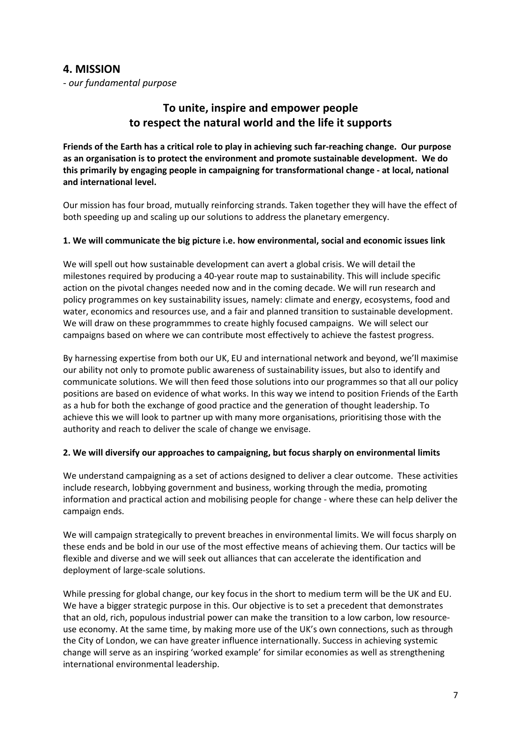### **4. MISSION**

*- our fundamental purpose*

# **To unite, inspire and empower people to respect the natural world and the life it supports**

**Friends of the Earth has a critical role to play in achieving such far-reaching change. Our purpose as an organisation is to protect the environment and promote sustainable development. We do this primarily by engaging people in campaigning for transformational change - at local, national and international level.**

Our mission has four broad, mutually reinforcing strands. Taken together they will have the effect of both speeding up and scaling up our solutions to address the planetary emergency.

#### **1. We will communicate the big picture i.e. how environmental, social and economic issues link**

We will spell out how sustainable development can avert a global crisis. We will detail the milestones required by producing a 40-year route map to sustainability. This will include specific action on the pivotal changes needed now and in the coming decade. We will run research and policy programmes on key sustainability issues, namely: climate and energy, ecosystems, food and water, economics and resources use, and a fair and planned transition to sustainable development. We will draw on these programmmes to create highly focused campaigns. We will select our campaigns based on where we can contribute most effectively to achieve the fastest progress.

By harnessing expertise from both our UK, EU and international network and beyond, we'll maximise our ability not only to promote public awareness of sustainability issues, but also to identify and communicate solutions. We will then feed those solutions into our programmes so that all our policy positions are based on evidence of what works. In this way we intend to position Friends of the Earth as a hub for both the exchange of good practice and the generation of thought leadership. To achieve this we will look to partner up with many more organisations, prioritising those with the authority and reach to deliver the scale of change we envisage.

#### **2. We will diversify our approaches to campaigning, but focus sharply on environmental limits**

We understand campaigning as a set of actions designed to deliver a clear outcome. These activities include research, lobbying government and business, working through the media, promoting information and practical action and mobilising people for change - where these can help deliver the campaign ends.

We will campaign strategically to prevent breaches in environmental limits. We will focus sharply on these ends and be bold in our use of the most effective means of achieving them. Our tactics will be flexible and diverse and we will seek out alliances that can accelerate the identification and deployment of large-scale solutions.

While pressing for global change, our key focus in the short to medium term will be the UK and EU. We have a bigger strategic purpose in this. Our objective is to set a precedent that demonstrates that an old, rich, populous industrial power can make the transition to a low carbon, low resourceuse economy. At the same time, by making more use of the UK's own connections, such as through the City of London, we can have greater influence internationally. Success in achieving systemic change will serve as an inspiring 'worked example' for similar economies as well as strengthening international environmental leadership.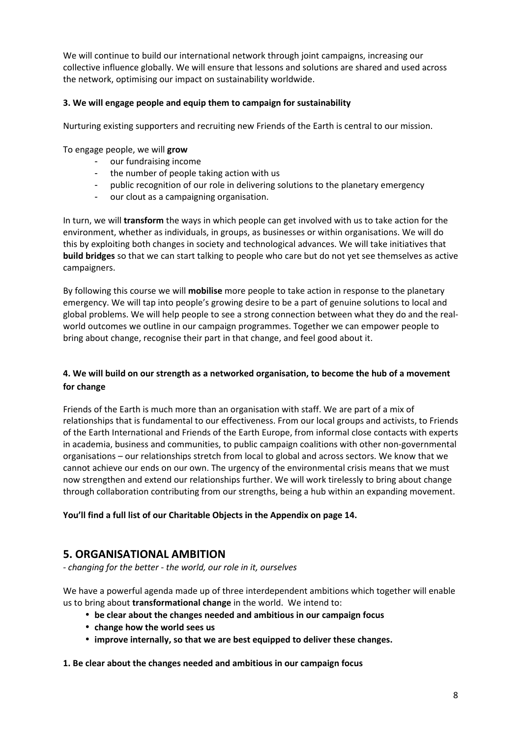We will continue to build our international network through joint campaigns, increasing our collective influence globally. We will ensure that lessons and solutions are shared and used across the network, optimising our impact on sustainability worldwide.

#### **3. We will engage people and equip them to campaign for sustainability**

Nurturing existing supporters and recruiting new Friends of the Earth is central to our mission.

To engage people, we will **grow** 

- our fundraising income
- the number of people taking action with us
- public recognition of our role in delivering solutions to the planetary emergency
- our clout as a campaigning organisation.

In turn, we will **transform** the ways in which people can get involved with us to take action for the environment, whether as individuals, in groups, as businesses or within organisations. We will do this by exploiting both changes in society and technological advances. We will take initiatives that **build bridges** so that we can start talking to people who care but do not yet see themselves as active campaigners.

By following this course we will **mobilise** more people to take action in response to the planetary emergency. We will tap into people's growing desire to be a part of genuine solutions to local and global problems. We will help people to see a strong connection between what they do and the realworld outcomes we outline in our campaign programmes. Together we can empower people to bring about change, recognise their part in that change, and feel good about it.

### **4. We will build on our strength as a networked organisation, to become the hub of a movement for change**

Friends of the Earth is much more than an organisation with staff. We are part of a mix of relationships that is fundamental to our effectiveness. From our local groups and activists, to Friends of the Earth International and Friends of the Earth Europe, from informal close contacts with experts in academia, business and communities, to public campaign coalitions with other non-governmental organisations – our relationships stretch from local to global and across sectors. We know that we cannot achieve our ends on our own. The urgency of the environmental crisis means that we must now strengthen and extend our relationships further. We will work tirelessly to bring about change through collaboration contributing from our strengths, being a hub within an expanding movement.

#### **You'll find a full list of our Charitable Objects in the Appendix on page 14.**

# **5. ORGANISATIONAL AMBITION**

*- changing for the better - the world, our role in it, ourselves* 

We have a powerful agenda made up of three interdependent ambitions which together will enable us to bring about **transformational change** in the world. We intend to:

- **be clear about the changes needed and ambitious in our campaign focus**
- **change how the world sees us**
- **improve internally, so that we are best equipped to deliver these changes.**

**1. Be clear about the changes needed and ambitious in our campaign focus**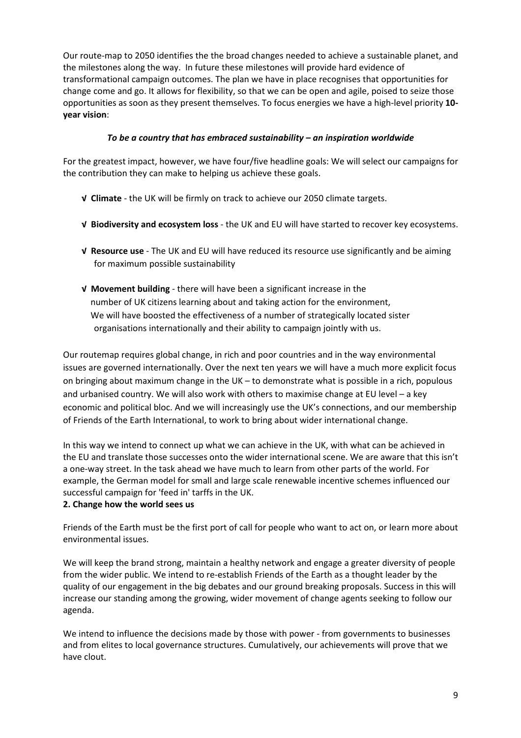Our route-map to 2050 identifies the the broad changes needed to achieve a sustainable planet, and the milestones along the way. In future these milestones will provide hard evidence of transformational campaign outcomes. The plan we have in place recognises that opportunities for change come and go. It allows for flexibility, so that we can be open and agile, poised to seize those opportunities as soon as they present themselves. To focus energies we have a high-level priority **10 year vision**:

#### *To be a country that has embraced sustainability – an inspiration worldwide*

For the greatest impact, however, we have four/five headline goals: We will select our campaigns for the contribution they can make to helping us achieve these goals.

- **√ Climate** the UK will be firmly on track to achieve our 2050 climate targets.
- **√ Biodiversity and ecosystem loss** the UK and EU will have started to recover key ecosystems.
- **√ Resource use** The UK and EU will have reduced its resource use significantly and be aiming for maximum possible sustainability
- **√ Movement building**  there will have been a significant increase in the number of UK citizens learning about and taking action for the environment, We will have boosted the effectiveness of a number of strategically located sister organisations internationally and their ability to campaign jointly with us.

Our routemap requires global change, in rich and poor countries and in the way environmental issues are governed internationally. Over the next ten years we will have a much more explicit focus on bringing about maximum change in the UK – to demonstrate what is possible in a rich, populous and urbanised country. We will also work with others to maximise change at EU level – a key economic and political bloc. And we will increasingly use the UK's connections, and our membership of Friends of the Earth International, to work to bring about wider international change.

In this way we intend to connect up what we can achieve in the UK, with what can be achieved in the EU and translate those successes onto the wider international scene. We are aware that this isn't a one-way street. In the task ahead we have much to learn from other parts of the world. For example, the German model for small and large scale renewable incentive schemes influenced our successful campaign for 'feed in' tarffs in the UK.

#### **2. Change how the world sees us**

Friends of the Earth must be the first port of call for people who want to act on, or learn more about environmental issues.

We will keep the brand strong, maintain a healthy network and engage a greater diversity of people from the wider public. We intend to re-establish Friends of the Earth as a thought leader by the quality of our engagement in the big debates and our ground breaking proposals. Success in this will increase our standing among the growing, wider movement of change agents seeking to follow our agenda.

We intend to influence the decisions made by those with power - from governments to businesses and from elites to local governance structures. Cumulatively, our achievements will prove that we have clout.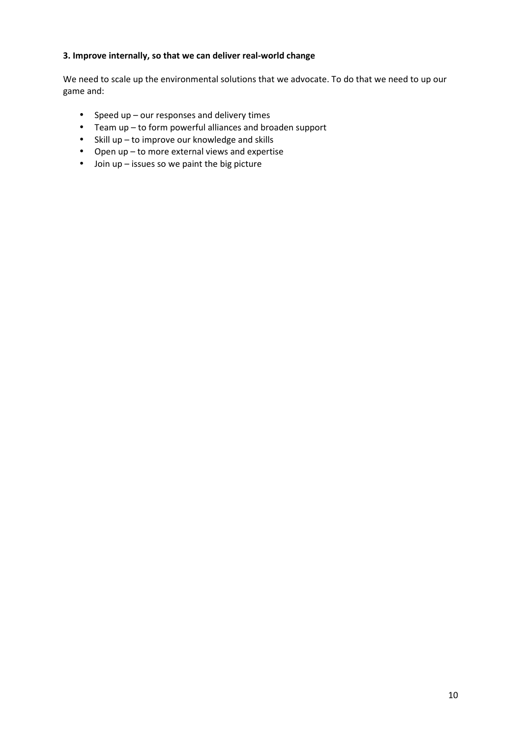#### **3. Improve internally, so that we can deliver real-world change**

We need to scale up the environmental solutions that we advocate. To do that we need to up our game and:

- Speed up our responses and delivery times
- Team up to form powerful alliances and broaden support
- Skill up to improve our knowledge and skills
- Open up to more external views and expertise
- Join up issues so we paint the big picture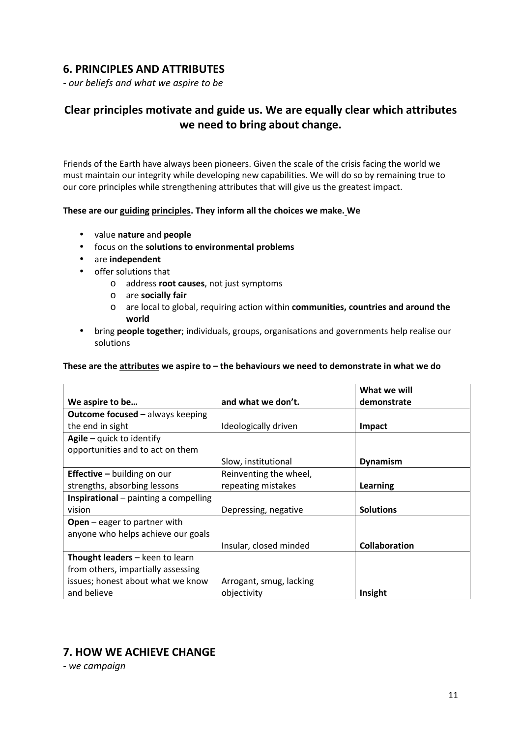# **6. PRINCIPLES AND ATTRIBUTES**

*- our beliefs and what we aspire to be* 

# **Clear principles motivate and guide us. We are equally clear which attributes we need to bring about change.**

Friends of the Earth have always been pioneers. Given the scale of the crisis facing the world we must maintain our integrity while developing new capabilities. We will do so by remaining true to our core principles while strengthening attributes that will give us the greatest impact.

#### **These are our guiding principles. They inform all the choices we make. We**

- value **nature** and **people**
- focus on the **solutions to environmental problems**
- are **independent**
- offer solutions that
	- o address **root causes**, not just symptoms
	- o are **socially fair**
	- o are local to global, requiring action within **communities, countries and around the world**
- bring **people together**; individuals, groups, organisations and governments help realise our solutions

#### **These are the attributes we aspire to – the behaviours we need to demonstrate in what we do**

|                                              |                         | What we will     |
|----------------------------------------------|-------------------------|------------------|
| We aspire to be                              | and what we don't.      | demonstrate      |
| <b>Outcome focused - always keeping</b>      |                         |                  |
| the end in sight                             | Ideologically driven    | Impact           |
| Agile $-$ quick to identify                  |                         |                  |
| opportunities and to act on them             |                         |                  |
|                                              | Slow, institutional     | <b>Dynamism</b>  |
| <b>Effective - building on our</b>           | Reinventing the wheel,  |                  |
| strengths, absorbing lessons                 | repeating mistakes      | Learning         |
| <b>Inspirational</b> – painting a compelling |                         |                  |
| vision                                       | Depressing, negative    | <b>Solutions</b> |
| <b>Open</b> $-$ eager to partner with        |                         |                  |
| anyone who helps achieve our goals           |                         |                  |
|                                              | Insular, closed minded  | Collaboration    |
| Thought leaders - keen to learn              |                         |                  |
| from others, impartially assessing           |                         |                  |
| issues; honest about what we know            | Arrogant, smug, lacking |                  |
| and believe                                  | objectivity             | Insight          |

# **7. HOW WE ACHIEVE CHANGE**

*- we campaign*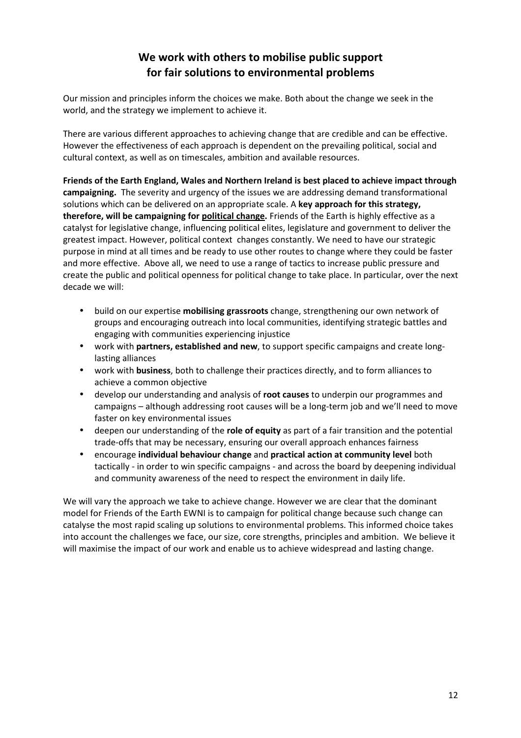# **We work with others to mobilise public support for fair solutions to environmental problems**

Our mission and principles inform the choices we make. Both about the change we seek in the world, and the strategy we implement to achieve it.

There are various different approaches to achieving change that are credible and can be effective. However the effectiveness of each approach is dependent on the prevailing political, social and cultural context, as well as on timescales, ambition and available resources.

**Friends of the Earth England, Wales and Northern Ireland is best placed to achieve impact through campaigning.** The severity and urgency of the issues we are addressing demand transformational solutions which can be delivered on an appropriate scale. A **key approach for this strategy, therefore, will be campaigning for political change.** Friends of the Earth is highly effective as a catalyst for legislative change, influencing political elites, legislature and government to deliver the greatest impact. However, political context changes constantly. We need to have our strategic purpose in mind at all times and be ready to use other routes to change where they could be faster and more effective. Above all, we need to use a range of tactics to increase public pressure and create the public and political openness for political change to take place. In particular, over the next decade we will:

- build on our expertise **mobilising grassroots** change, strengthening our own network of groups and encouraging outreach into local communities, identifying strategic battles and engaging with communities experiencing injustice
- work with **partners, established and new**, to support specific campaigns and create longlasting alliances
- work with **business**, both to challenge their practices directly, and to form alliances to achieve a common objective
- develop our understanding and analysis of **root causes** to underpin our programmes and campaigns – although addressing root causes will be a long-term job and we'll need to move faster on key environmental issues
- deepen our understanding of the **role of equity** as part of a fair transition and the potential trade-offs that may be necessary, ensuring our overall approach enhances fairness
- encourage **individual behaviour change** and **practical action at community level** both tactically - in order to win specific campaigns - and across the board by deepening individual and community awareness of the need to respect the environment in daily life.

We will vary the approach we take to achieve change. However we are clear that the dominant model for Friends of the Earth EWNI is to campaign for political change because such change can catalyse the most rapid scaling up solutions to environmental problems. This informed choice takes into account the challenges we face, our size, core strengths, principles and ambition. We believe it will maximise the impact of our work and enable us to achieve widespread and lasting change.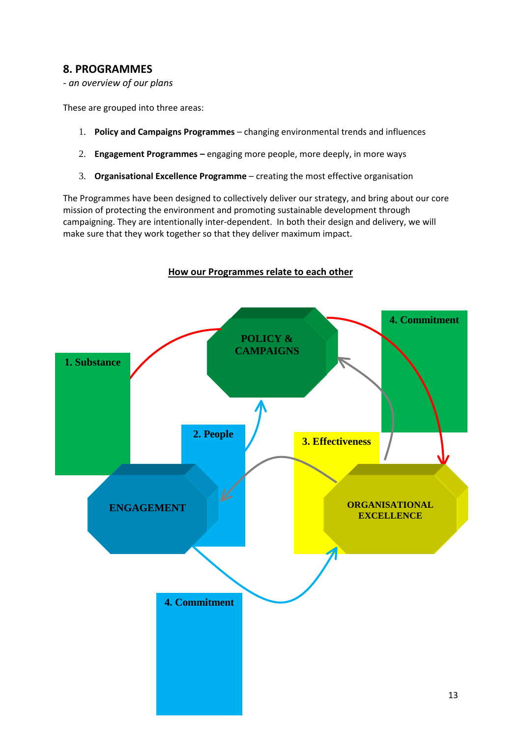# **8. PROGRAMMES**

*- an overview of our plans*

These are grouped into three areas:

- 1. **Policy and Campaigns Programmes** changing environmental trends and influences
- 2. **Engagement Programmes –** engaging more people, more deeply, in more ways
- 3. **Organisational Excellence Programme** creating the most effective organisation

The Programmes have been designed to collectively deliver our strategy, and bring about our core mission of protecting the environment and promoting sustainable development through campaigning. They are intentionally inter-dependent. In both their design and delivery, we will make sure that they work together so that they deliver maximum impact.

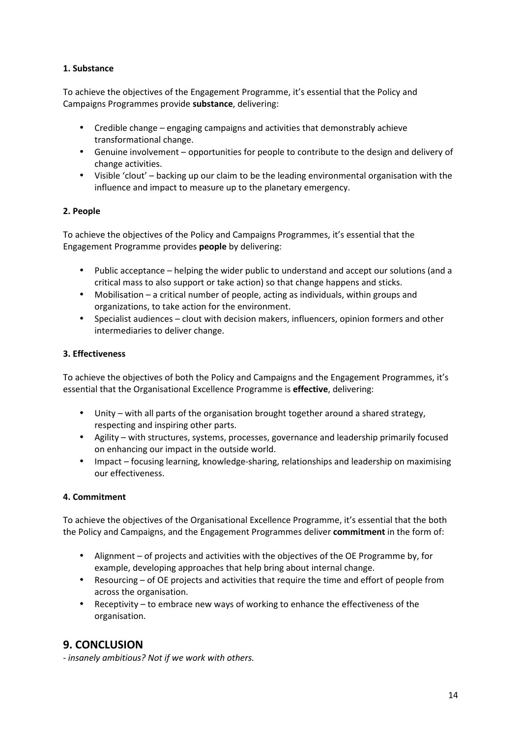#### **1. Substance**

To achieve the objectives of the Engagement Programme, it's essential that the Policy and Campaigns Programmes provide **substance**, delivering:

- Credible change engaging campaigns and activities that demonstrably achieve transformational change.
- Genuine involvement opportunities for people to contribute to the design and delivery of change activities.
- Visible 'clout' backing up our claim to be the leading environmental organisation with the influence and impact to measure up to the planetary emergency.

#### **2. People**

To achieve the objectives of the Policy and Campaigns Programmes, it's essential that the Engagement Programme provides **people** by delivering:

- Public acceptance helping the wider public to understand and accept our solutions (and a critical mass to also support or take action) so that change happens and sticks.
- Mobilisation a critical number of people, acting as individuals, within groups and organizations, to take action for the environment.
- Specialist audiences clout with decision makers, influencers, opinion formers and other intermediaries to deliver change.

#### **3. Effectiveness**

To achieve the objectives of both the Policy and Campaigns and the Engagement Programmes, it's essential that the Organisational Excellence Programme is **effective**, delivering:

- Unity with all parts of the organisation brought together around a shared strategy, respecting and inspiring other parts.
- Agility with structures, systems, processes, governance and leadership primarily focused on enhancing our impact in the outside world.
- Impact focusing learning, knowledge-sharing, relationships and leadership on maximising our effectiveness.

#### **4. Commitment**

To achieve the objectives of the Organisational Excellence Programme, it's essential that the both the Policy and Campaigns, and the Engagement Programmes deliver **commitment** in the form of:

- Alignment of projects and activities with the objectives of the OE Programme by, for example, developing approaches that help bring about internal change.
- Resourcing of OE projects and activities that require the time and effort of people from across the organisation.
- Receptivity to embrace new ways of working to enhance the effectiveness of the organisation.

# **9. CONCLUSION**

*- insanely ambitious? Not if we work with others.*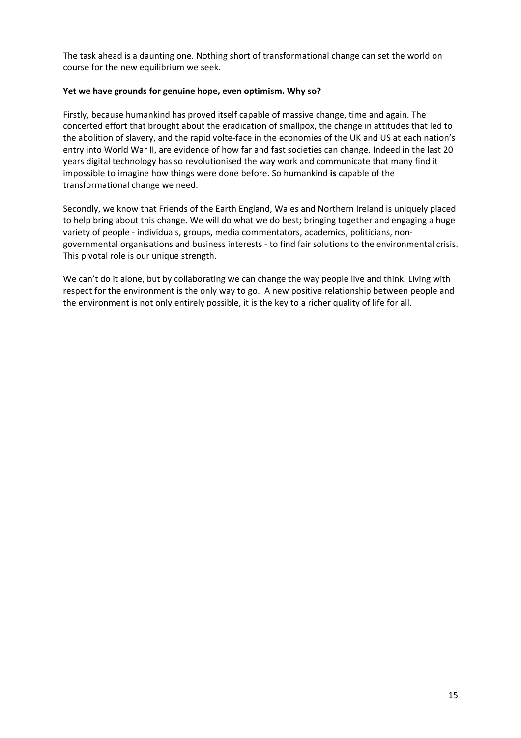The task ahead is a daunting one. Nothing short of transformational change can set the world on course for the new equilibrium we seek.

#### **Yet we have grounds for genuine hope, even optimism. Why so?**

Firstly, because humankind has proved itself capable of massive change, time and again. The concerted effort that brought about the eradication of smallpox, the change in attitudes that led to the abolition of slavery, and the rapid volte-face in the economies of the UK and US at each nation's entry into World War II, are evidence of how far and fast societies can change. Indeed in the last 20 years digital technology has so revolutionised the way work and communicate that many find it impossible to imagine how things were done before. So humankind **is** capable of the transformational change we need.

Secondly, we know that Friends of the Earth England, Wales and Northern Ireland is uniquely placed to help bring about this change. We will do what we do best; bringing together and engaging a huge variety of people - individuals, groups, media commentators, academics, politicians, nongovernmental organisations and business interests - to find fair solutions to the environmental crisis. This pivotal role is our unique strength.

We can't do it alone, but by collaborating we can change the way people live and think. Living with respect for the environment is the only way to go. A new positive relationship between people and the environment is not only entirely possible, it is the key to a richer quality of life for all.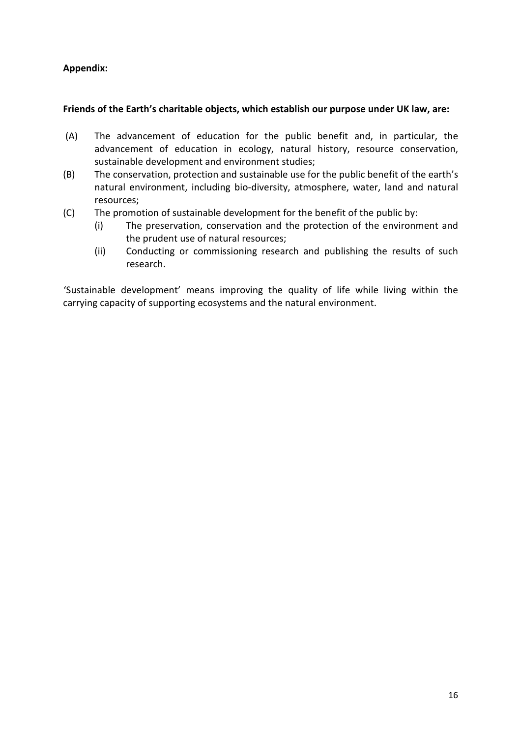### **Appendix:**

#### **Friends of the Earth's charitable objects, which establish our purpose under UK law, are:**

- (A) The advancement of education for the public benefit and, in particular, the advancement of education in ecology, natural history, resource conservation, sustainable development and environment studies;
- (B) The conservation, protection and sustainable use for the public benefit of the earth's natural environment, including bio-diversity, atmosphere, water, land and natural resources;
- (C) The promotion of sustainable development for the benefit of the public by:
	- (i) The preservation, conservation and the protection of the environment and the prudent use of natural resources;
	- (ii) Conducting or commissioning research and publishing the results of such research.

'Sustainable development' means improving the quality of life while living within the carrying capacity of supporting ecosystems and the natural environment.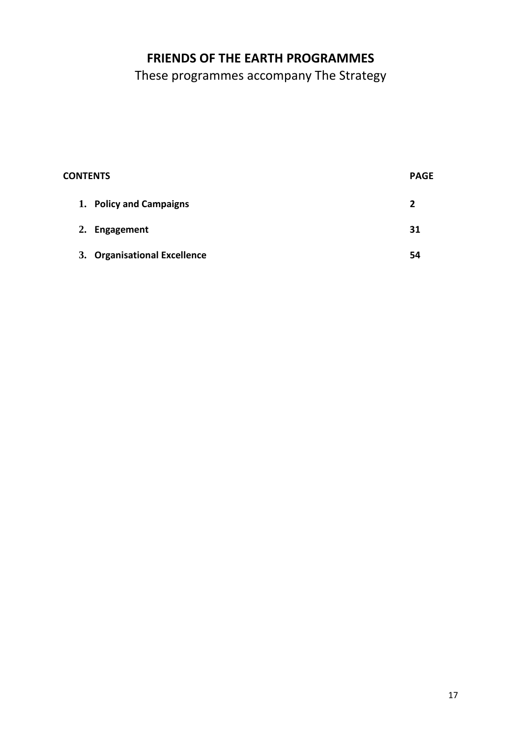# **FRIENDS OF THE EARTH PROGRAMMES**

These programmes accompany The Strategy

| <b>CONTENTS</b>              |  | <b>PAGE</b> |
|------------------------------|--|-------------|
| 1. Policy and Campaigns      |  | 2           |
| 2. Engagement                |  | 31          |
| 3. Organisational Excellence |  | 54          |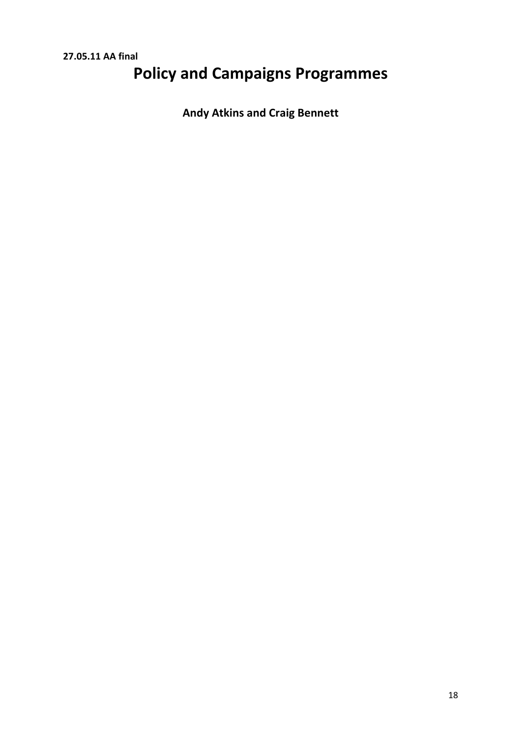# **Policy and Campaigns Programmes**

**Andy Atkins and Craig Bennett**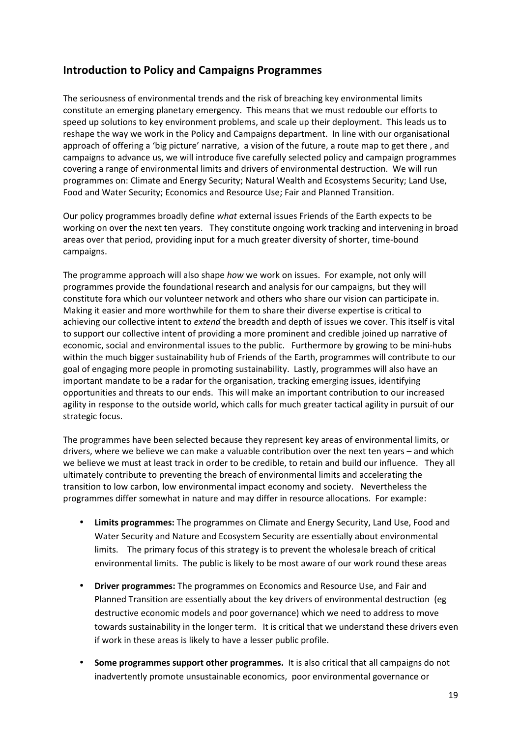# **Introduction to Policy and Campaigns Programmes**

The seriousness of environmental trends and the risk of breaching key environmental limits constitute an emerging planetary emergency. This means that we must redouble our efforts to speed up solutions to key environment problems, and scale up their deployment. This leads us to reshape the way we work in the Policy and Campaigns department. In line with our organisational approach of offering a 'big picture' narrative, a vision of the future, a route map to get there , and campaigns to advance us, we will introduce five carefully selected policy and campaign programmes covering a range of environmental limits and drivers of environmental destruction. We will run programmes on: Climate and Energy Security; Natural Wealth and Ecosystems Security; Land Use, Food and Water Security; Economics and Resource Use; Fair and Planned Transition.

Our policy programmes broadly define *what* external issues Friends of the Earth expects to be working on over the next ten years. They constitute ongoing work tracking and intervening in broad areas over that period, providing input for a much greater diversity of shorter, time-bound campaigns.

The programme approach will also shape *how* we work on issues. For example, not only will programmes provide the foundational research and analysis for our campaigns, but they will constitute fora which our volunteer network and others who share our vision can participate in. Making it easier and more worthwhile for them to share their diverse expertise is critical to achieving our collective intent to *extend* the breadth and depth of issues we cover. This itself is vital to support our collective intent of providing a more prominent and credible joined up narrative of economic, social and environmental issues to the public. Furthermore by growing to be mini-hubs within the much bigger sustainability hub of Friends of the Earth, programmes will contribute to our goal of engaging more people in promoting sustainability. Lastly, programmes will also have an important mandate to be a radar for the organisation, tracking emerging issues, identifying opportunities and threats to our ends. This will make an important contribution to our increased agility in response to the outside world, which calls for much greater tactical agility in pursuit of our strategic focus.

The programmes have been selected because they represent key areas of environmental limits, or drivers, where we believe we can make a valuable contribution over the next ten years – and which we believe we must at least track in order to be credible, to retain and build our influence. They all ultimately contribute to preventing the breach of environmental limits and accelerating the transition to low carbon, low environmental impact economy and society. Nevertheless the programmes differ somewhat in nature and may differ in resource allocations. For example:

- **Limits programmes:** The programmes on Climate and Energy Security, Land Use, Food and Water Security and Nature and Ecosystem Security are essentially about environmental limits. The primary focus of this strategy is to prevent the wholesale breach of critical environmental limits. The public is likely to be most aware of our work round these areas
- **Driver programmes:** The programmes on Economics and Resource Use, and Fair and Planned Transition are essentially about the key drivers of environmental destruction (eg destructive economic models and poor governance) which we need to address to move towards sustainability in the longer term. It is critical that we understand these drivers even if work in these areas is likely to have a lesser public profile.
- **Some programmes support other programmes.** It is also critical that all campaigns do not inadvertently promote unsustainable economics, poor environmental governance or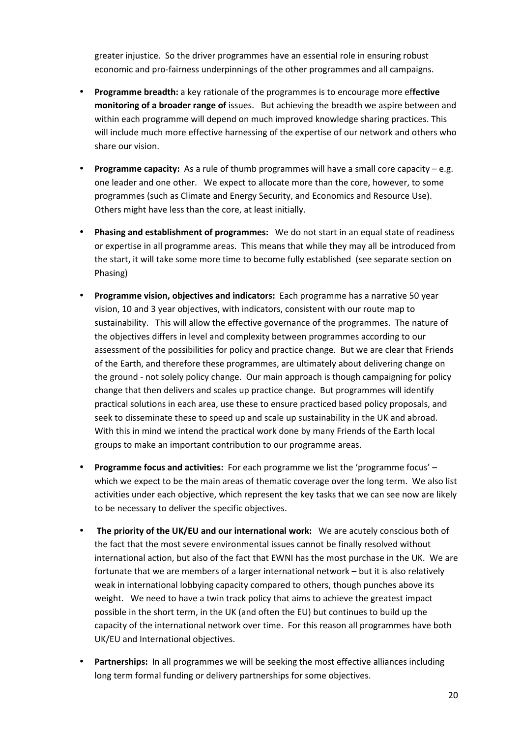greater injustice. So the driver programmes have an essential role in ensuring robust economic and pro-fairness underpinnings of the other programmes and all campaigns.

- **Programme breadth:** a key rationale of the programmes is to encourage more ef**fective monitoring of a broader range of** issues. But achieving the breadth we aspire between and within each programme will depend on much improved knowledge sharing practices. This will include much more effective harnessing of the expertise of our network and others who share our vision.
- **Programme capacity:** As a rule of thumb programmes will have a small core capacity e.g. one leader and one other. We expect to allocate more than the core, however, to some programmes (such as Climate and Energy Security, and Economics and Resource Use). Others might have less than the core, at least initially.
- **Phasing and establishment of programmes:** We do not start in an equal state of readiness or expertise in all programme areas. This means that while they may all be introduced from the start, it will take some more time to become fully established (see separate section on Phasing)
- **Programme vision, objectives and indicators:** Each programme has a narrative 50 year vision, 10 and 3 year objectives, with indicators, consistent with our route map to sustainability. This will allow the effective governance of the programmes. The nature of the objectives differs in level and complexity between programmes according to our assessment of the possibilities for policy and practice change. But we are clear that Friends of the Earth, and therefore these programmes, are ultimately about delivering change on the ground - not solely policy change. Our main approach is though campaigning for policy change that then delivers and scales up practice change. But programmes will identify practical solutions in each area, use these to ensure practiced based policy proposals, and seek to disseminate these to speed up and scale up sustainability in the UK and abroad. With this in mind we intend the practical work done by many Friends of the Earth local groups to make an important contribution to our programme areas.
- **Programme focus and activities:** For each programme we list the 'programme focus' which we expect to be the main areas of thematic coverage over the long term. We also list activities under each objective, which represent the key tasks that we can see now are likely to be necessary to deliver the specific objectives.
- **The priority of the UK/EU and our international work:** We are acutely conscious both of the fact that the most severe environmental issues cannot be finally resolved without international action, but also of the fact that EWNI has the most purchase in the UK. We are fortunate that we are members of a larger international network – but it is also relatively weak in international lobbying capacity compared to others, though punches above its weight. We need to have a twin track policy that aims to achieve the greatest impact possible in the short term, in the UK (and often the EU) but continues to build up the capacity of the international network over time. For this reason all programmes have both UK/EU and International objectives.
- **Partnerships:** In all programmes we will be seeking the most effective alliances including long term formal funding or delivery partnerships for some objectives.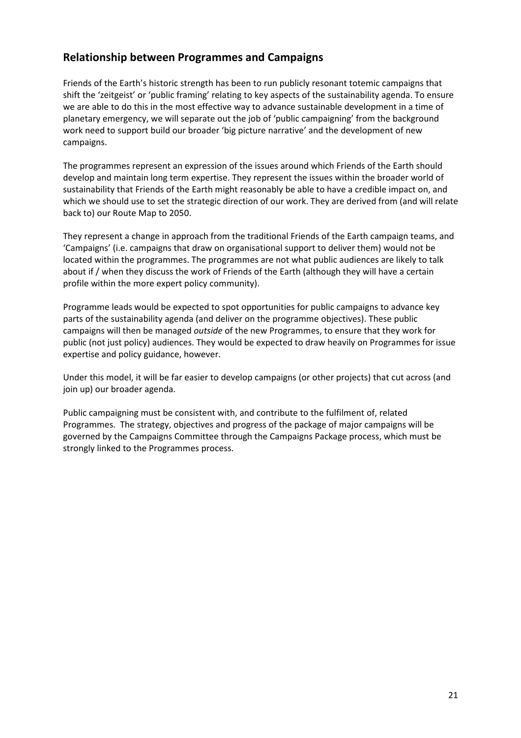# **Relationship between Programmes and Campaigns**

Friends of the Earth's historic strength has been to run publicly resonant totemic campaigns that shift the 'zeitgeist' or 'public framing' relating to key aspects of the sustainability agenda. To ensure we are able to do this in the most effective way to advance sustainable development in a time of planetary emergency, we will separate out the job of 'public campaigning' from the background work need to support build our broader 'big picture narrative' and the development of new campaigns.

The programmes represent an expression of the issues around which Friends of the Earth should develop and maintain long term expertise. They represent the issues within the broader world of sustainability that Friends of the Earth might reasonably be able to have a credible impact on, and which we should use to set the strategic direction of our work. They are derived from (and will relate back to) our Route Map to 2050.

They represent a change in approach from the traditional Friends of the Earth campaign teams, and 'Campaigns' (i.e. campaigns that draw on organisational support to deliver them) would not be located within the programmes. The programmes are not what public audiences are likely to talk about if / when they discuss the work of Friends of the Earth (although they will have a certain profile within the more expert policy community).

Programme leads would be expected to spot opportunities for public campaigns to advance key parts of the sustainability agenda (and deliver on the programme objectives). These public campaigns will then be managed *outside* of the new Programmes, to ensure that they work for public (not just policy) audiences. They would be expected to draw heavily on Programmes for issue expertise and policy guidance, however.

Under this model, it will be far easier to develop campaigns (or other projects) that cut across (and join up) our broader agenda.

Public campaigning must be consistent with, and contribute to the fulfilment of, related Programmes. The strategy, objectives and progress of the package of major campaigns will be governed by the Campaigns Committee through the Campaigns Package process, which must be strongly linked to the Programmes process.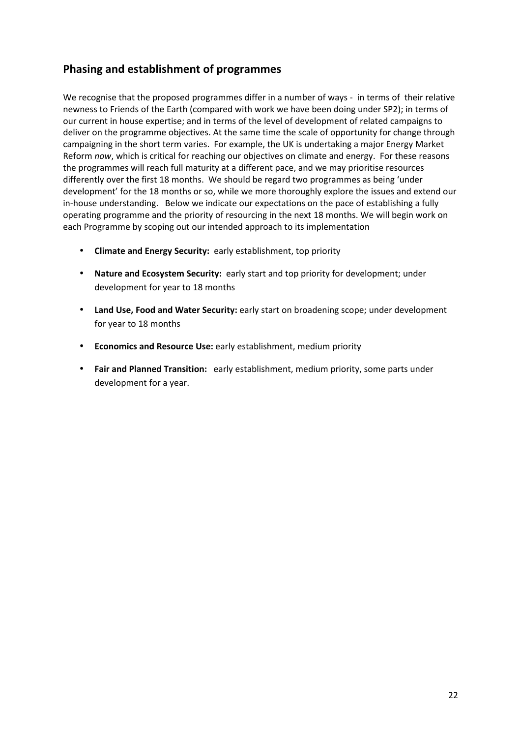# **Phasing and establishment of programmes**

We recognise that the proposed programmes differ in a number of ways - in terms of their relative newness to Friends of the Earth (compared with work we have been doing under SP2); in terms of our current in house expertise; and in terms of the level of development of related campaigns to deliver on the programme objectives. At the same time the scale of opportunity for change through campaigning in the short term varies. For example, the UK is undertaking a major Energy Market Reform *now*, which is critical for reaching our objectives on climate and energy. For these reasons the programmes will reach full maturity at a different pace, and we may prioritise resources differently over the first 18 months. We should be regard two programmes as being 'under development' for the 18 months or so, while we more thoroughly explore the issues and extend our in-house understanding. Below we indicate our expectations on the pace of establishing a fully operating programme and the priority of resourcing in the next 18 months. We will begin work on each Programme by scoping out our intended approach to its implementation

- **Climate and Energy Security:** early establishment, top priority
- **Nature and Ecosystem Security:** early start and top priority for development; under development for year to 18 months
- **Land Use, Food and Water Security:** early start on broadening scope; under development for year to 18 months
- **Economics and Resource Use:** early establishment, medium priority
- **Fair and Planned Transition:** early establishment, medium priority, some parts under development for a year.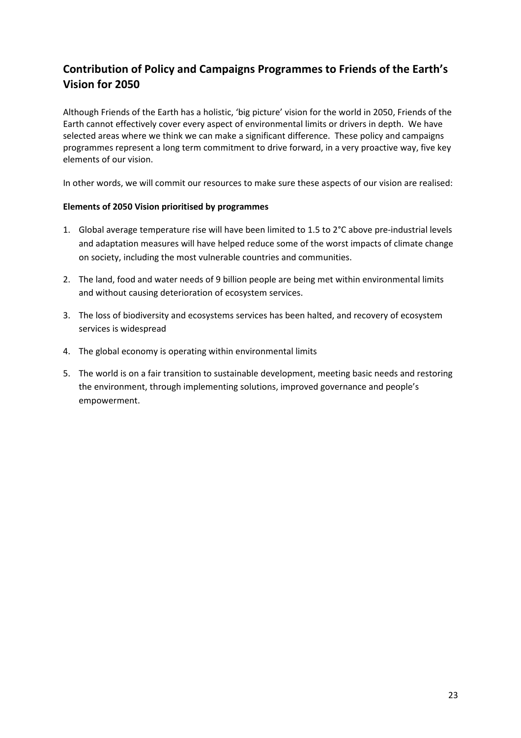# **Contribution of Policy and Campaigns Programmes to Friends of the Earth's Vision for 2050**

Although Friends of the Earth has a holistic, 'big picture' vision for the world in 2050, Friends of the Earth cannot effectively cover every aspect of environmental limits or drivers in depth. We have selected areas where we think we can make a significant difference. These policy and campaigns programmes represent a long term commitment to drive forward, in a very proactive way, five key elements of our vision.

In other words, we will commit our resources to make sure these aspects of our vision are realised:

#### **Elements of 2050 Vision prioritised by programmes**

- 1. Global average temperature rise will have been limited to 1.5 to 2°C above pre-industrial levels and adaptation measures will have helped reduce some of the worst impacts of climate change on society, including the most vulnerable countries and communities.
- 2. The land, food and water needs of 9 billion people are being met within environmental limits and without causing deterioration of ecosystem services.
- 3. The loss of biodiversity and ecosystems services has been halted, and recovery of ecosystem services is widespread
- 4. The global economy is operating within environmental limits
- 5. The world is on a fair transition to sustainable development, meeting basic needs and restoring the environment, through implementing solutions, improved governance and people's empowerment.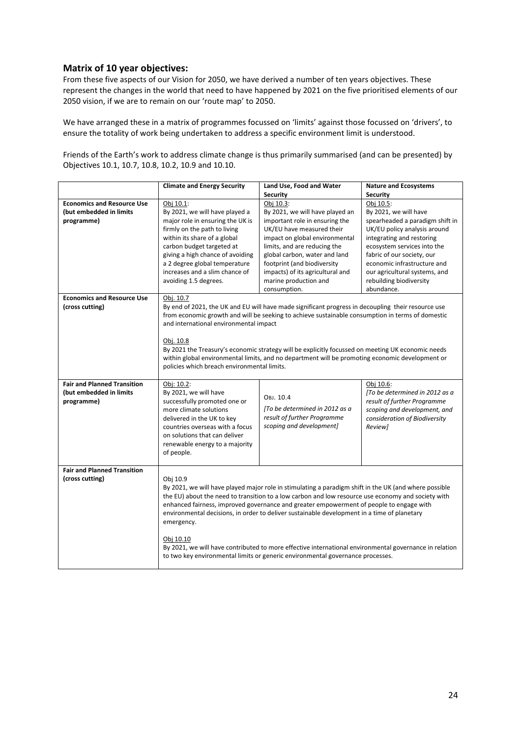#### **Matrix of 10 year objectives:**

From these five aspects of our Vision for 2050, we have derived a number of ten years objectives. These represent the changes in the world that need to have happened by 2021 on the five prioritised elements of our 2050 vision, if we are to remain on our 'route map' to 2050.

We have arranged these in a matrix of programmes focussed on 'limits' against those focussed on 'drivers', to ensure the totality of work being undertaken to address a specific environment limit is understood.

Friends of the Earth's work to address climate change is thus primarily summarised (and can be presented) by Objectives 10.1, 10.7, 10.8, 10.2, 10.9 and 10.10.

|                                                                             | <b>Climate and Energy Security</b>                                                                                                                                                                                                                                                                                                                                                                                                                                                                                                                                                                                                       | Land Use, Food and Water                                                                                                                                                                                                                                                                                   | <b>Nature and Ecosystems</b>                                                                                                                                                                                                                                                               |
|-----------------------------------------------------------------------------|------------------------------------------------------------------------------------------------------------------------------------------------------------------------------------------------------------------------------------------------------------------------------------------------------------------------------------------------------------------------------------------------------------------------------------------------------------------------------------------------------------------------------------------------------------------------------------------------------------------------------------------|------------------------------------------------------------------------------------------------------------------------------------------------------------------------------------------------------------------------------------------------------------------------------------------------------------|--------------------------------------------------------------------------------------------------------------------------------------------------------------------------------------------------------------------------------------------------------------------------------------------|
|                                                                             |                                                                                                                                                                                                                                                                                                                                                                                                                                                                                                                                                                                                                                          | <b>Security</b>                                                                                                                                                                                                                                                                                            | Security                                                                                                                                                                                                                                                                                   |
| <b>Economics and Resource Use</b><br>(but embedded in limits<br>programme)  | Obj 10.1:<br>By 2021, we will have played a<br>major role in ensuring the UK is<br>firmly on the path to living<br>within its share of a global<br>carbon budget targeted at<br>giving a high chance of avoiding<br>a 2 degree global temperature<br>increases and a slim chance of<br>avoiding 1.5 degrees.                                                                                                                                                                                                                                                                                                                             | Obj 10.3:<br>By 2021, we will have played an<br>important role in ensuring the<br>UK/EU have measured their<br>impact on global environmental<br>limits, and are reducing the<br>global carbon, water and land<br>footprint (and biodiversity<br>impacts) of its agricultural and<br>marine production and | Obj 10.5:<br>By 2021, we will have<br>spearheaded a paradigm shift in<br>UK/EU policy analysis around<br>integrating and restoring<br>ecosystem services into the<br>fabric of our society, our<br>economic infrastructure and<br>our agricultural systems, and<br>rebuilding biodiversity |
| <b>Economics and Resource Use</b><br>(cross cutting)                        | consumption.<br>abundance.<br>Obj. 10.7<br>By end of 2021, the UK and EU will have made significant progress in decoupling their resource use<br>from economic growth and will be seeking to achieve sustainable consumption in terms of domestic<br>and international environmental impact                                                                                                                                                                                                                                                                                                                                              |                                                                                                                                                                                                                                                                                                            |                                                                                                                                                                                                                                                                                            |
|                                                                             | Obj. 10.8<br>By 2021 the Treasury's economic strategy will be explicitly focussed on meeting UK economic needs<br>within global environmental limits, and no department will be promoting economic development or<br>policies which breach environmental limits.                                                                                                                                                                                                                                                                                                                                                                         |                                                                                                                                                                                                                                                                                                            |                                                                                                                                                                                                                                                                                            |
| <b>Fair and Planned Transition</b><br>(but embedded in limits<br>programme) | Obj: 10.2:<br>By 2021, we will have<br>successfully promoted one or<br>more climate solutions<br>delivered in the UK to key<br>countries overseas with a focus<br>on solutions that can deliver<br>renewable energy to a majority<br>of people.                                                                                                                                                                                                                                                                                                                                                                                          | OBJ. 10.4<br>[To be determined in 2012 as a<br>result of further Programme<br>scoping and development]                                                                                                                                                                                                     | Obj 10.6:<br>[To be determined in 2012 as a<br>result of further Programme<br>scoping and development, and<br>consideration of Biodiversity<br>Review]                                                                                                                                     |
| <b>Fair and Planned Transition</b><br>(cross cutting)                       | Obj 10.9<br>By 2021, we will have played major role in stimulating a paradigm shift in the UK (and where possible<br>the EU) about the need to transition to a low carbon and low resource use economy and society with<br>enhanced fairness, improved governance and greater empowerment of people to engage with<br>environmental decisions, in order to deliver sustainable development in a time of planetary<br>emergency.<br>Obj 10.10<br>By 2021, we will have contributed to more effective international environmental governance in relation<br>to two key environmental limits or generic environmental governance processes. |                                                                                                                                                                                                                                                                                                            |                                                                                                                                                                                                                                                                                            |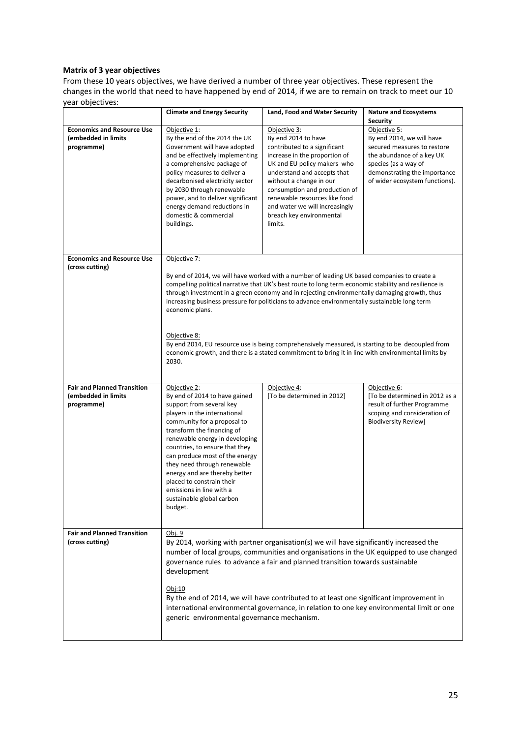#### **Matrix of 3 year objectives**

From these 10 years objectives, we have derived a number of three year objectives. These represent the changes in the world that need to have happened by end of 2014, if we are to remain on track to meet our 10 year objectives:

|                                                                         | <b>Climate and Energy Security</b>                                                                                                                                                                                                                                                                                                                                                                                                                                                                                                                                                                                                                                          | Land, Food and Water Security                                                                                                                                                                                                                                                                                                            | <b>Nature and Ecosystems</b><br><b>Security</b>                                                                                                                                                 |
|-------------------------------------------------------------------------|-----------------------------------------------------------------------------------------------------------------------------------------------------------------------------------------------------------------------------------------------------------------------------------------------------------------------------------------------------------------------------------------------------------------------------------------------------------------------------------------------------------------------------------------------------------------------------------------------------------------------------------------------------------------------------|------------------------------------------------------------------------------------------------------------------------------------------------------------------------------------------------------------------------------------------------------------------------------------------------------------------------------------------|-------------------------------------------------------------------------------------------------------------------------------------------------------------------------------------------------|
| <b>Economics and Resource Use</b><br>(embedded in limits<br>programme)  | Objective 1:<br>By the end of the 2014 the UK<br>Government will have adopted<br>and be effectively implementing<br>a comprehensive package of<br>policy measures to deliver a<br>decarbonised electricity sector<br>by 2030 through renewable<br>power, and to deliver significant<br>energy demand reductions in<br>domestic & commercial<br>buildings.                                                                                                                                                                                                                                                                                                                   | Objective 3:<br>By end 2014 to have<br>contributed to a significant<br>increase in the proportion of<br>UK and EU policy makers who<br>understand and accepts that<br>without a change in our<br>consumption and production of<br>renewable resources like food<br>and water we will increasingly<br>breach key environmental<br>limits. | Objective 5:<br>By end 2014, we will have<br>secured measures to restore<br>the abundance of a key UK<br>species (as a way of<br>demonstrating the importance<br>of wider ecosystem functions). |
| <b>Economics and Resource Use</b><br>(cross cutting)                    | Objective 7:<br>By end of 2014, we will have worked with a number of leading UK based companies to create a<br>compelling political narrative that UK's best route to long term economic stability and resilience is<br>through investment in a green economy and in rejecting environmentally damaging growth, thus<br>increasing business pressure for politicians to advance environmentally sustainable long term<br>economic plans.<br>Objective 8:<br>By end 2014, EU resource use is being comprehensively measured, is starting to be decoupled from<br>economic growth, and there is a stated commitment to bring it in line with environmental limits by<br>2030. |                                                                                                                                                                                                                                                                                                                                          |                                                                                                                                                                                                 |
| <b>Fair and Planned Transition</b><br>(embedded in limits<br>programme) | Objective 2:<br>By end of 2014 to have gained<br>support from several key<br>players in the international<br>community for a proposal to<br>transform the financing of<br>renewable energy in developing<br>countries, to ensure that they<br>can produce most of the energy<br>they need through renewable<br>energy and are thereby better<br>placed to constrain their<br>emissions in line with a<br>sustainable global carbon<br>budget.                                                                                                                                                                                                                               | Objective 4:<br>[To be determined in 2012]                                                                                                                                                                                                                                                                                               | Objective 6:<br>[To be determined in 2012 as a<br>result of further Programme<br>scoping and consideration of<br>Biodiversity Review]                                                           |
| <b>Fair and Planned Transition</b><br>(cross cutting)                   | Obj. 9<br>By 2014, working with partner organisation(s) we will have significantly increased the<br>number of local groups, communities and organisations in the UK equipped to use changed<br>governance rules to advance a fair and planned transition towards sustainable<br>development<br>Obj:10<br>By the end of 2014, we will have contributed to at least one significant improvement in<br>international environmental governance, in relation to one key environmental limit or one<br>generic environmental governance mechanism.                                                                                                                                |                                                                                                                                                                                                                                                                                                                                          |                                                                                                                                                                                                 |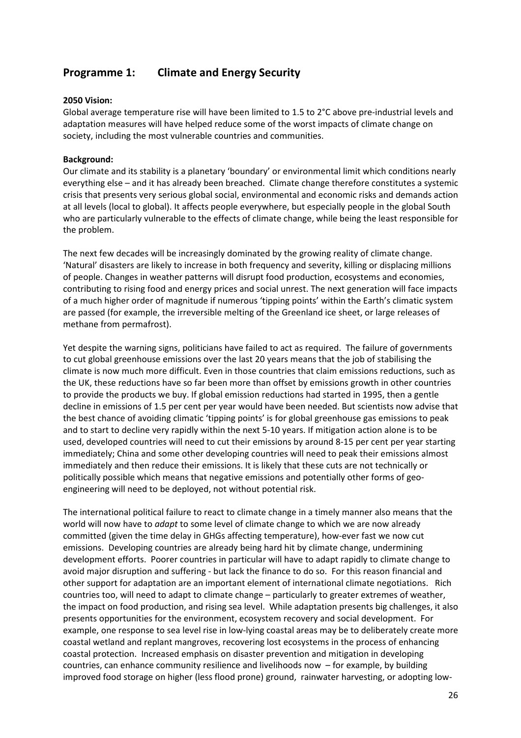# **Programme 1: Climate and Energy Security**

#### **2050 Vision:**

Global average temperature rise will have been limited to 1.5 to 2°C above pre-industrial levels and adaptation measures will have helped reduce some of the worst impacts of climate change on society, including the most vulnerable countries and communities.

#### **Background:**

Our climate and its stability is a planetary 'boundary' or environmental limit which conditions nearly everything else – and it has already been breached. Climate change therefore constitutes a systemic crisis that presents very serious global social, environmental and economic risks and demands action at all levels (local to global). It affects people everywhere, but especially people in the global South who are particularly vulnerable to the effects of climate change, while being the least responsible for the problem.

The next few decades will be increasingly dominated by the growing reality of climate change. 'Natural' disasters are likely to increase in both frequency and severity, killing or displacing millions of people. Changes in weather patterns will disrupt food production, ecosystems and economies, contributing to rising food and energy prices and social unrest. The next generation will face impacts of a much higher order of magnitude if numerous 'tipping points' within the Earth's climatic system are passed (for example, the irreversible melting of the Greenland ice sheet, or large releases of methane from permafrost).

Yet despite the warning signs, politicians have failed to act as required. The failure of governments to cut global greenhouse emissions over the last 20 years means that the job of stabilising the climate is now much more difficult. Even in those countries that claim emissions reductions, such as the UK, these reductions have so far been more than offset by emissions growth in other countries to provide the products we buy. If global emission reductions had started in 1995, then a gentle decline in emissions of 1.5 per cent per year would have been needed. But scientists now advise that the best chance of avoiding climatic 'tipping points' is for global greenhouse gas emissions to peak and to start to decline very rapidly within the next 5-10 years. If mitigation action alone is to be used, developed countries will need to cut their emissions by around 8-15 per cent per year starting immediately; China and some other developing countries will need to peak their emissions almost immediately and then reduce their emissions. It is likely that these cuts are not technically or politically possible which means that negative emissions and potentially other forms of geoengineering will need to be deployed, not without potential risk.

The international political failure to react to climate change in a timely manner also means that the world will now have to *adapt* to some level of climate change to which we are now already committed (given the time delay in GHGs affecting temperature), how-ever fast we now cut emissions. Developing countries are already being hard hit by climate change, undermining development efforts. Poorer countries in particular will have to adapt rapidly to climate change to avoid major disruption and suffering - but lack the finance to do so. For this reason financial and other support for adaptation are an important element of international climate negotiations. Rich countries too, will need to adapt to climate change – particularly to greater extremes of weather, the impact on food production, and rising sea level. While adaptation presents big challenges, it also presents opportunities for the environment, ecosystem recovery and social development. For example, one response to sea level rise in low-lying coastal areas may be to deliberately create more coastal wetland and replant mangroves, recovering lost ecosystems in the process of enhancing coastal protection. Increased emphasis on disaster prevention and mitigation in developing countries, can enhance community resilience and livelihoods now – for example, by building improved food storage on higher (less flood prone) ground, rainwater harvesting, or adopting low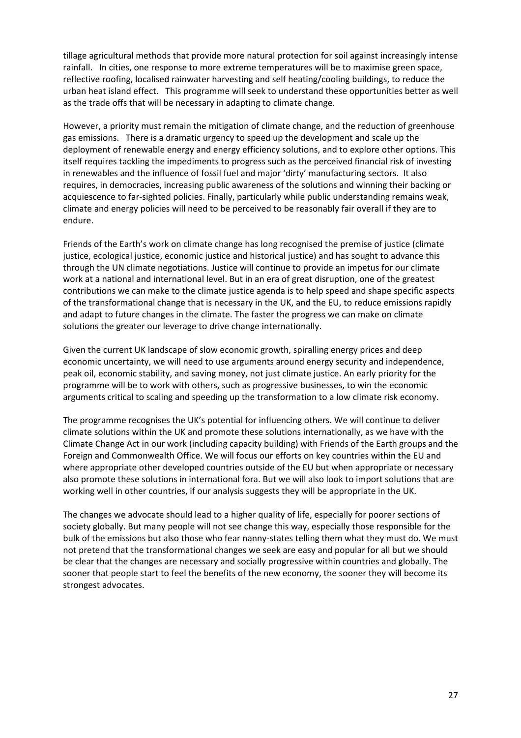tillage agricultural methods that provide more natural protection for soil against increasingly intense rainfall. In cities, one response to more extreme temperatures will be to maximise green space, reflective roofing, localised rainwater harvesting and self heating/cooling buildings, to reduce the urban heat island effect. This programme will seek to understand these opportunities better as well as the trade offs that will be necessary in adapting to climate change.

However, a priority must remain the mitigation of climate change, and the reduction of greenhouse gas emissions. There is a dramatic urgency to speed up the development and scale up the deployment of renewable energy and energy efficiency solutions, and to explore other options. This itself requires tackling the impediments to progress such as the perceived financial risk of investing in renewables and the influence of fossil fuel and major 'dirty' manufacturing sectors. It also requires, in democracies, increasing public awareness of the solutions and winning their backing or acquiescence to far-sighted policies. Finally, particularly while public understanding remains weak, climate and energy policies will need to be perceived to be reasonably fair overall if they are to endure.

Friends of the Earth's work on climate change has long recognised the premise of justice (climate justice, ecological justice, economic justice and historical justice) and has sought to advance this through the UN climate negotiations. Justice will continue to provide an impetus for our climate work at a national and international level. But in an era of great disruption, one of the greatest contributions we can make to the climate justice agenda is to help speed and shape specific aspects of the transformational change that is necessary in the UK, and the EU, to reduce emissions rapidly and adapt to future changes in the climate. The faster the progress we can make on climate solutions the greater our leverage to drive change internationally.

Given the current UK landscape of slow economic growth, spiralling energy prices and deep economic uncertainty, we will need to use arguments around energy security and independence, peak oil, economic stability, and saving money, not just climate justice. An early priority for the programme will be to work with others, such as progressive businesses, to win the economic arguments critical to scaling and speeding up the transformation to a low climate risk economy.

The programme recognises the UK's potential for influencing others. We will continue to deliver climate solutions within the UK and promote these solutions internationally, as we have with the Climate Change Act in our work (including capacity building) with Friends of the Earth groups and the Foreign and Commonwealth Office. We will focus our efforts on key countries within the EU and where appropriate other developed countries outside of the EU but when appropriate or necessary also promote these solutions in international fora. But we will also look to import solutions that are working well in other countries, if our analysis suggests they will be appropriate in the UK.

The changes we advocate should lead to a higher quality of life, especially for poorer sections of society globally. But many people will not see change this way, especially those responsible for the bulk of the emissions but also those who fear nanny-states telling them what they must do. We must not pretend that the transformational changes we seek are easy and popular for all but we should be clear that the changes are necessary and socially progressive within countries and globally. The sooner that people start to feel the benefits of the new economy, the sooner they will become its strongest advocates.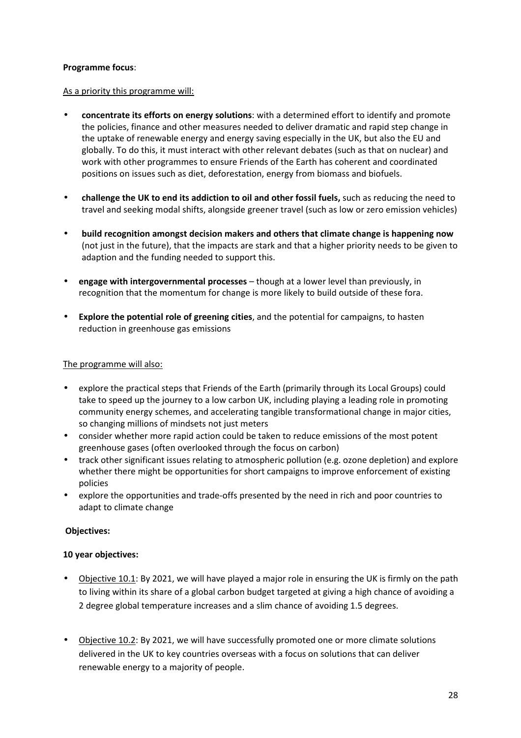#### **Programme focus**:

#### As a priority this programme will:

- **concentrate its efforts on energy solutions**: with a determined effort to identify and promote the policies, finance and other measures needed to deliver dramatic and rapid step change in the uptake of renewable energy and energy saving especially in the UK, but also the EU and globally. To do this, it must interact with other relevant debates (such as that on nuclear) and work with other programmes to ensure Friends of the Earth has coherent and coordinated positions on issues such as diet, deforestation, energy from biomass and biofuels.
- **challenge the UK to end its addiction to oil and other fossil fuels,** such as reducing the need to travel and seeking modal shifts, alongside greener travel (such as low or zero emission vehicles)
- **build recognition amongst decision makers and others that climate change is happening now**  (not just in the future), that the impacts are stark and that a higher priority needs to be given to adaption and the funding needed to support this.
- **engage with intergovernmental processes** though at a lower level than previously, in recognition that the momentum for change is more likely to build outside of these fora.
- **Explore the potential role of greening cities**, and the potential for campaigns, to hasten reduction in greenhouse gas emissions

#### The programme will also:

- explore the practical steps that Friends of the Earth (primarily through its Local Groups) could take to speed up the journey to a low carbon UK, including playing a leading role in promoting community energy schemes, and accelerating tangible transformational change in major cities, so changing millions of mindsets not just meters
- consider whether more rapid action could be taken to reduce emissions of the most potent greenhouse gases (often overlooked through the focus on carbon)
- track other significant issues relating to atmospheric pollution (e.g. ozone depletion) and explore whether there might be opportunities for short campaigns to improve enforcement of existing policies
- explore the opportunities and trade-offs presented by the need in rich and poor countries to adapt to climate change

#### **Objectives:**

#### **10 year objectives:**

- Objective 10.1: By 2021, we will have played a major role in ensuring the UK is firmly on the path to living within its share of a global carbon budget targeted at giving a high chance of avoiding a 2 degree global temperature increases and a slim chance of avoiding 1.5 degrees.
- Objective 10.2: By 2021, we will have successfully promoted one or more climate solutions delivered in the UK to key countries overseas with a focus on solutions that can deliver renewable energy to a majority of people.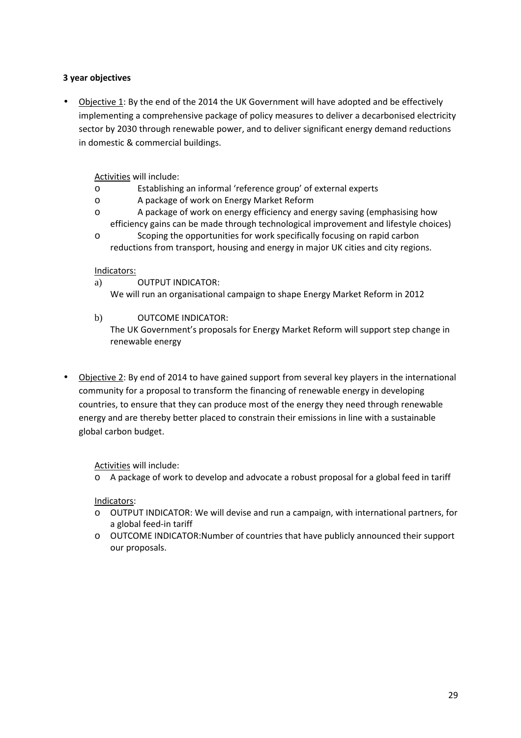#### **3 year objectives**

• Objective 1: By the end of the 2014 the UK Government will have adopted and be effectively implementing a comprehensive package of policy measures to deliver a decarbonised electricity sector by 2030 through renewable power, and to deliver significant energy demand reductions in domestic & commercial buildings.

Activities will include:

- o Establishing an informal 'reference group' of external experts
- o A package of work on Energy Market Reform
- o A package of work on energy efficiency and energy saving (emphasising how efficiency gains can be made through technological improvement and lifestyle choices)
- o Scoping the opportunities for work specifically focusing on rapid carbon reductions from transport, housing and energy in major UK cities and city regions.

#### Indicators:

- a) OUTPUT INDICATOR: We will run an organisational campaign to shape Energy Market Reform in 2012
- b) OUTCOME INDICATOR:

The UK Government's proposals for Energy Market Reform will support step change in renewable energy

• Objective 2: By end of 2014 to have gained support from several key players in the international community for a proposal to transform the financing of renewable energy in developing countries, to ensure that they can produce most of the energy they need through renewable energy and are thereby better placed to constrain their emissions in line with a sustainable global carbon budget.

#### Activities will include:

o A package of work to develop and advocate a robust proposal for a global feed in tariff

#### Indicators:

- o OUTPUT INDICATOR: We will devise and run a campaign, with international partners, for a global feed-in tariff
- o OUTCOME INDICATOR:Number of countries that have publicly announced their support our proposals.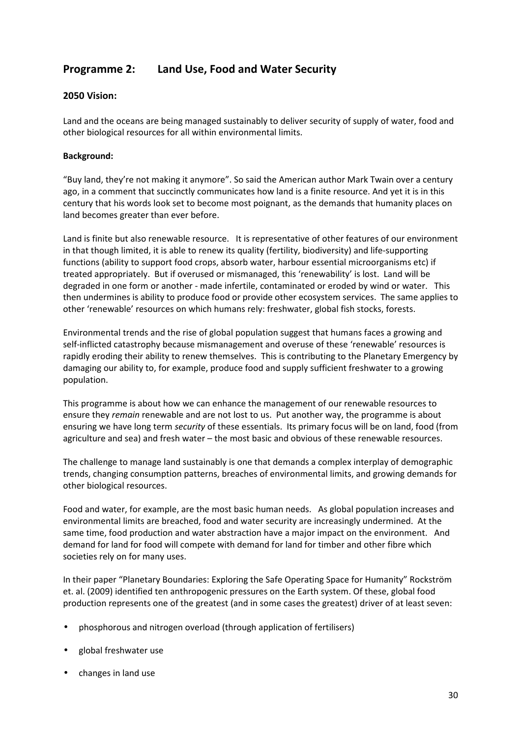# **Programme 2: Land Use, Food and Water Security**

#### **2050 Vision:**

Land and the oceans are being managed sustainably to deliver security of supply of water, food and other biological resources for all within environmental limits.

#### **Background:**

"Buy land, they're not making it anymore". So said the American author Mark Twain over a century ago, in a comment that succinctly communicates how land is a finite resource. And yet it is in this century that his words look set to become most poignant, as the demands that humanity places on land becomes greater than ever before.

Land is finite but also renewable resource. It is representative of other features of our environment in that though limited, it is able to renew its quality (fertility, biodiversity) and life-supporting functions (ability to support food crops, absorb water, harbour essential microorganisms etc) if treated appropriately. But if overused or mismanaged, this 'renewability' is lost. Land will be degraded in one form or another - made infertile, contaminated or eroded by wind or water. This then undermines is ability to produce food or provide other ecosystem services. The same applies to other 'renewable' resources on which humans rely: freshwater, global fish stocks, forests.

Environmental trends and the rise of global population suggest that humans faces a growing and self-inflicted catastrophy because mismanagement and overuse of these 'renewable' resources is rapidly eroding their ability to renew themselves. This is contributing to the Planetary Emergency by damaging our ability to, for example, produce food and supply sufficient freshwater to a growing population.

This programme is about how we can enhance the management of our renewable resources to ensure they *remain* renewable and are not lost to us. Put another way, the programme is about ensuring we have long term *security* of these essentials. Its primary focus will be on land, food (from agriculture and sea) and fresh water – the most basic and obvious of these renewable resources.

The challenge to manage land sustainably is one that demands a complex interplay of demographic trends, changing consumption patterns, breaches of environmental limits, and growing demands for other biological resources.

Food and water, for example, are the most basic human needs. As global population increases and environmental limits are breached, food and water security are increasingly undermined. At the same time, food production and water abstraction have a major impact on the environment. And demand for land for food will compete with demand for land for timber and other fibre which societies rely on for many uses.

In their paper "Planetary Boundaries: Exploring the Safe Operating Space for Humanity" Rockström et. al. (2009) identified ten anthropogenic pressures on the Earth system. Of these, global food production represents one of the greatest (and in some cases the greatest) driver of at least seven:

- phosphorous and nitrogen overload (through application of fertilisers)
- global freshwater use
- changes in land use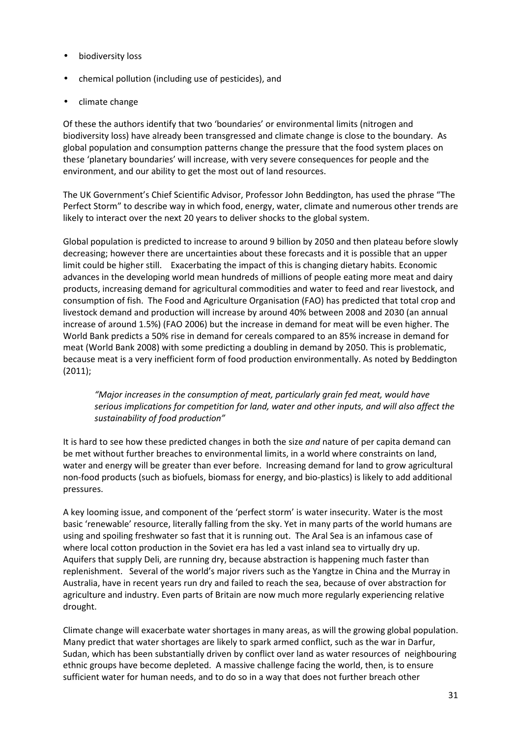- biodiversity loss
- chemical pollution (including use of pesticides), and
- climate change

Of these the authors identify that two 'boundaries' or environmental limits (nitrogen and biodiversity loss) have already been transgressed and climate change is close to the boundary. As global population and consumption patterns change the pressure that the food system places on these 'planetary boundaries' will increase, with very severe consequences for people and the environment, and our ability to get the most out of land resources.

The UK Government's Chief Scientific Advisor, Professor John Beddington, has used the phrase "The Perfect Storm" to describe way in which food, energy, water, climate and numerous other trends are likely to interact over the next 20 years to deliver shocks to the global system.

Global population is predicted to increase to around 9 billion by 2050 and then plateau before slowly decreasing; however there are uncertainties about these forecasts and it is possible that an upper limit could be higher still. Exacerbating the impact of this is changing dietary habits. Economic advances in the developing world mean hundreds of millions of people eating more meat and dairy products, increasing demand for agricultural commodities and water to feed and rear livestock, and consumption of fish. The Food and Agriculture Organisation (FAO) has predicted that total crop and livestock demand and production will increase by around 40% between 2008 and 2030 (an annual increase of around 1.5%) (FAO 2006) but the increase in demand for meat will be even higher. The World Bank predicts a 50% rise in demand for cereals compared to an 85% increase in demand for meat (World Bank 2008) with some predicting a doubling in demand by 2050. This is problematic, because meat is a very inefficient form of food production environmentally. As noted by Beddington (2011);

*"Major increases in the consumption of meat, particularly grain fed meat, would have serious implications for competition for land, water and other inputs, and will also affect the sustainability of food production"* 

It is hard to see how these predicted changes in both the size *and* nature of per capita demand can be met without further breaches to environmental limits, in a world where constraints on land, water and energy will be greater than ever before. Increasing demand for land to grow agricultural non-food products (such as biofuels, biomass for energy, and bio-plastics) is likely to add additional pressures.

A key looming issue, and component of the 'perfect storm' is water insecurity. Water is the most basic 'renewable' resource, literally falling from the sky. Yet in many parts of the world humans are using and spoiling freshwater so fast that it is running out. The Aral Sea is an infamous case of where local cotton production in the Soviet era has led a vast inland sea to virtually dry up. Aquifers that supply Deli, are running dry, because abstraction is happening much faster than replenishment. Several of the world's major rivers such as the Yangtze in China and the Murray in Australia, have in recent years run dry and failed to reach the sea, because of over abstraction for agriculture and industry. Even parts of Britain are now much more regularly experiencing relative drought.

Climate change will exacerbate water shortages in many areas, as will the growing global population. Many predict that water shortages are likely to spark armed conflict, such as the war in Darfur, Sudan, which has been substantially driven by conflict over land as water resources of neighbouring ethnic groups have become depleted. A massive challenge facing the world, then, is to ensure sufficient water for human needs, and to do so in a way that does not further breach other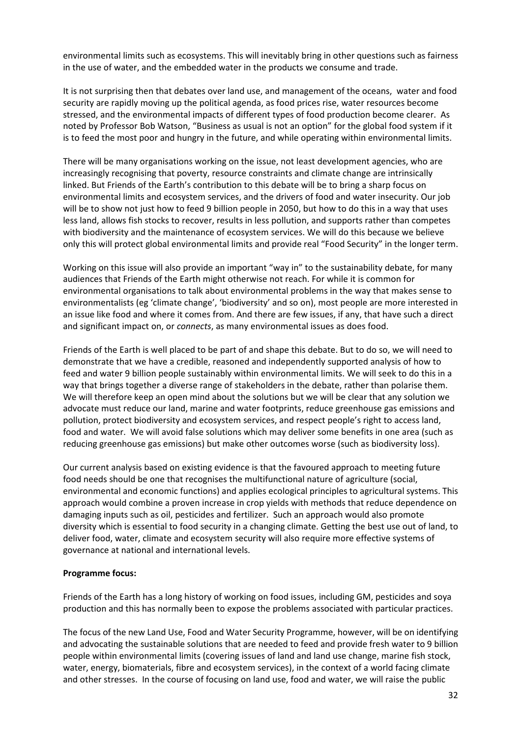environmental limits such as ecosystems. This will inevitably bring in other questions such as fairness in the use of water, and the embedded water in the products we consume and trade.

It is not surprising then that debates over land use, and management of the oceans, water and food security are rapidly moving up the political agenda, as food prices rise, water resources become stressed, and the environmental impacts of different types of food production become clearer. As noted by Professor Bob Watson, "Business as usual is not an option" for the global food system if it is to feed the most poor and hungry in the future, and while operating within environmental limits.

There will be many organisations working on the issue, not least development agencies, who are increasingly recognising that poverty, resource constraints and climate change are intrinsically linked. But Friends of the Earth's contribution to this debate will be to bring a sharp focus on environmental limits and ecosystem services, and the drivers of food and water insecurity. Our job will be to show not just how to feed 9 billion people in 2050, but how to do this in a way that uses less land, allows fish stocks to recover, results in less pollution, and supports rather than competes with biodiversity and the maintenance of ecosystem services. We will do this because we believe only this will protect global environmental limits and provide real "Food Security" in the longer term.

Working on this issue will also provide an important "way in" to the sustainability debate, for many audiences that Friends of the Earth might otherwise not reach. For while it is common for environmental organisations to talk about environmental problems in the way that makes sense to environmentalists (eg 'climate change', 'biodiversity' and so on), most people are more interested in an issue like food and where it comes from. And there are few issues, if any, that have such a direct and significant impact on, or *connects*, as many environmental issues as does food.

Friends of the Earth is well placed to be part of and shape this debate. But to do so, we will need to demonstrate that we have a credible, reasoned and independently supported analysis of how to feed and water 9 billion people sustainably within environmental limits. We will seek to do this in a way that brings together a diverse range of stakeholders in the debate, rather than polarise them. We will therefore keep an open mind about the solutions but we will be clear that any solution we advocate must reduce our land, marine and water footprints, reduce greenhouse gas emissions and pollution, protect biodiversity and ecosystem services, and respect people's right to access land, food and water. We will avoid false solutions which may deliver some benefits in one area (such as reducing greenhouse gas emissions) but make other outcomes worse (such as biodiversity loss).

Our current analysis based on existing evidence is that the favoured approach to meeting future food needs should be one that recognises the multifunctional nature of agriculture (social, environmental and economic functions) and applies ecological principles to agricultural systems. This approach would combine a proven increase in crop yields with methods that reduce dependence on damaging inputs such as oil, pesticides and fertilizer. Such an approach would also promote diversity which is essential to food security in a changing climate. Getting the best use out of land, to deliver food, water, climate and ecosystem security will also require more effective systems of governance at national and international levels.

#### **Programme focus:**

Friends of the Earth has a long history of working on food issues, including GM, pesticides and soya production and this has normally been to expose the problems associated with particular practices.

The focus of the new Land Use, Food and Water Security Programme, however, will be on identifying and advocating the sustainable solutions that are needed to feed and provide fresh water to 9 billion people within environmental limits (covering issues of land and land use change, marine fish stock, water, energy, biomaterials, fibre and ecosystem services), in the context of a world facing climate and other stresses. In the course of focusing on land use, food and water, we will raise the public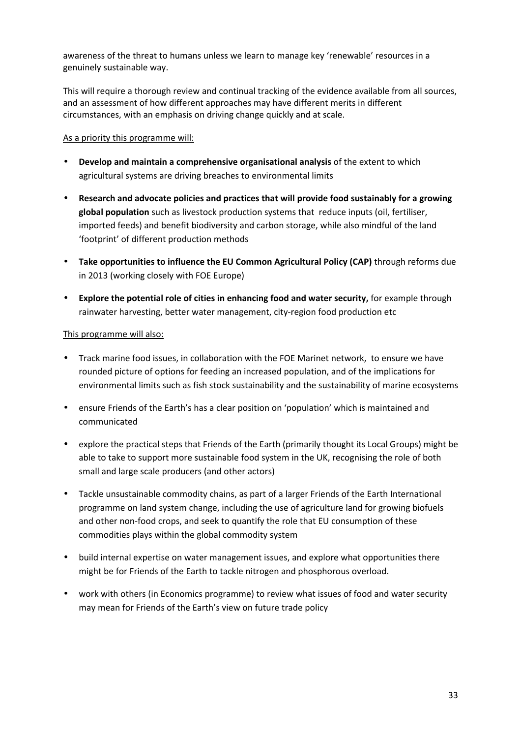awareness of the threat to humans unless we learn to manage key 'renewable' resources in a genuinely sustainable way.

This will require a thorough review and continual tracking of the evidence available from all sources, and an assessment of how different approaches may have different merits in different circumstances, with an emphasis on driving change quickly and at scale.

#### As a priority this programme will:

- **Develop and maintain a comprehensive organisational analysis** of the extent to which agricultural systems are driving breaches to environmental limits
- **Research and advocate policies and practices that will provide food sustainably for a growing global population** such as livestock production systems that reduce inputs (oil, fertiliser, imported feeds) and benefit biodiversity and carbon storage, while also mindful of the land 'footprint' of different production methods
- **Take opportunities to influence the EU Common Agricultural Policy (CAP)** through reforms due in 2013 (working closely with FOE Europe)
- **Explore the potential role of cities in enhancing food and water security,** for example through rainwater harvesting, better water management, city-region food production etc

#### This programme will also:

- Track marine food issues, in collaboration with the FOE Marinet network, to ensure we have rounded picture of options for feeding an increased population, and of the implications for environmental limits such as fish stock sustainability and the sustainability of marine ecosystems
- ensure Friends of the Earth's has a clear position on 'population' which is maintained and communicated
- explore the practical steps that Friends of the Earth (primarily thought its Local Groups) might be able to take to support more sustainable food system in the UK, recognising the role of both small and large scale producers (and other actors)
- Tackle unsustainable commodity chains, as part of a larger Friends of the Earth International programme on land system change, including the use of agriculture land for growing biofuels and other non-food crops, and seek to quantify the role that EU consumption of these commodities plays within the global commodity system
- build internal expertise on water management issues, and explore what opportunities there might be for Friends of the Earth to tackle nitrogen and phosphorous overload.
- work with others (in Economics programme) to review what issues of food and water security may mean for Friends of the Earth's view on future trade policy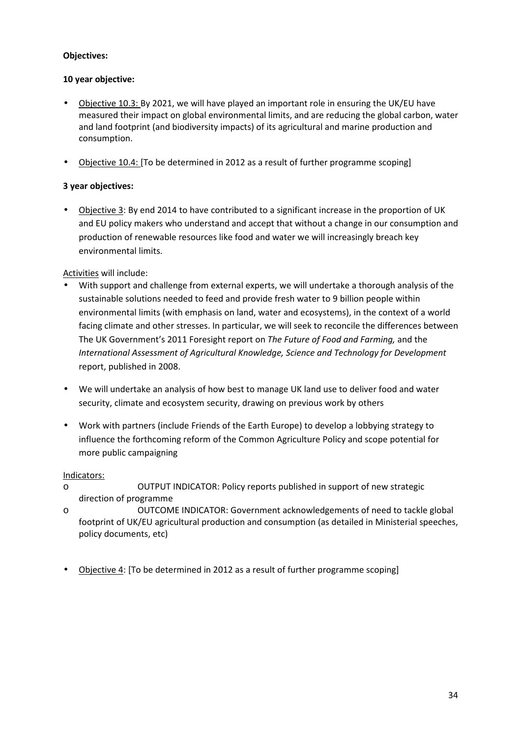#### **Objectives:**

#### **10 year objective:**

- Objective 10.3: By 2021, we will have played an important role in ensuring the UK/EU have measured their impact on global environmental limits, and are reducing the global carbon, water and land footprint (and biodiversity impacts) of its agricultural and marine production and consumption.
- Objective 10.4: [To be determined in 2012 as a result of further programme scoping]

#### **3 year objectives:**

• Objective 3: By end 2014 to have contributed to a significant increase in the proportion of UK and EU policy makers who understand and accept that without a change in our consumption and production of renewable resources like food and water we will increasingly breach key environmental limits.

#### Activities will include:

- With support and challenge from external experts, we will undertake a thorough analysis of the sustainable solutions needed to feed and provide fresh water to 9 billion people within environmental limits (with emphasis on land, water and ecosystems), in the context of a world facing climate and other stresses. In particular, we will seek to reconcile the differences between The UK Government's 2011 Foresight report on *The Future of Food and Farming,* and the *International Assessment of Agricultural Knowledge, Science and Technology for Development* report, published in 2008.
- We will undertake an analysis of how best to manage UK land use to deliver food and water security, climate and ecosystem security, drawing on previous work by others
- Work with partners (include Friends of the Earth Europe) to develop a lobbying strategy to influence the forthcoming reform of the Common Agriculture Policy and scope potential for more public campaigning

#### Indicators:

- o OUTPUT INDICATOR: Policy reports published in support of new strategic direction of programme
- o OUTCOME INDICATOR: Government acknowledgements of need to tackle global footprint of UK/EU agricultural production and consumption (as detailed in Ministerial speeches, policy documents, etc)
- Objective 4: [To be determined in 2012 as a result of further programme scoping]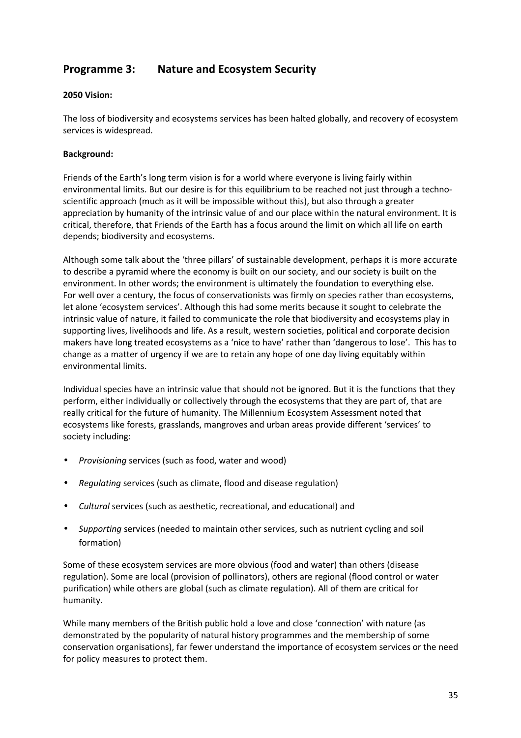# **Programme 3: Nature and Ecosystem Security**

#### **2050 Vision:**

The loss of biodiversity and ecosystems services has been halted globally, and recovery of ecosystem services is widespread.

#### **Background:**

Friends of the Earth's long term vision is for a world where everyone is living fairly within environmental limits. But our desire is for this equilibrium to be reached not just through a technoscientific approach (much as it will be impossible without this), but also through a greater appreciation by humanity of the intrinsic value of and our place within the natural environment. It is critical, therefore, that Friends of the Earth has a focus around the limit on which all life on earth depends; biodiversity and ecosystems.

Although some talk about the 'three pillars' of sustainable development, perhaps it is more accurate to describe a pyramid where the economy is built on our society, and our society is built on the environment. In other words; the environment is ultimately the foundation to everything else. For well over a century, the focus of conservationists was firmly on species rather than ecosystems, let alone 'ecosystem services'. Although this had some merits because it sought to celebrate the intrinsic value of nature, it failed to communicate the role that biodiversity and ecosystems play in supporting lives, livelihoods and life. As a result, western societies, political and corporate decision makers have long treated ecosystems as a 'nice to have' rather than 'dangerous to lose'. This has to change as a matter of urgency if we are to retain any hope of one day living equitably within environmental limits.

Individual species have an intrinsic value that should not be ignored. But it is the functions that they perform, either individually or collectively through the ecosystems that they are part of, that are really critical for the future of humanity. The Millennium Ecosystem Assessment noted that ecosystems like forests, grasslands, mangroves and urban areas provide different 'services' to society including:

- *Provisioning* services (such as food, water and wood)
- *Regulating* services (such as climate, flood and disease regulation)
- *Cultural* services (such as aesthetic, recreational, and educational) and
- *Supporting* services (needed to maintain other services, such as nutrient cycling and soil formation)

Some of these ecosystem services are more obvious (food and water) than others (disease regulation). Some are local (provision of pollinators), others are regional (flood control or water purification) while others are global (such as climate regulation). All of them are critical for humanity.

While many members of the British public hold a love and close 'connection' with nature (as demonstrated by the popularity of natural history programmes and the membership of some conservation organisations), far fewer understand the importance of ecosystem services or the need for policy measures to protect them.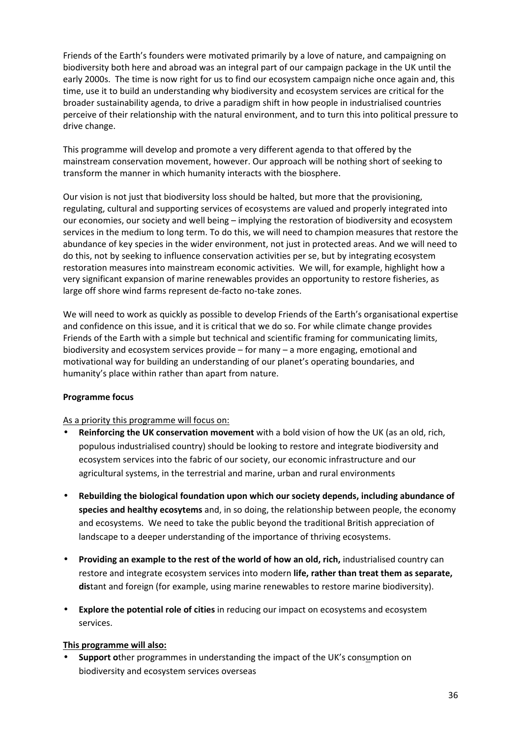Friends of the Earth's founders were motivated primarily by a love of nature, and campaigning on biodiversity both here and abroad was an integral part of our campaign package in the UK until the early 2000s. The time is now right for us to find our ecosystem campaign niche once again and, this time, use it to build an understanding why biodiversity and ecosystem services are critical for the broader sustainability agenda, to drive a paradigm shift in how people in industrialised countries perceive of their relationship with the natural environment, and to turn this into political pressure to drive change.

This programme will develop and promote a very different agenda to that offered by the mainstream conservation movement, however. Our approach will be nothing short of seeking to transform the manner in which humanity interacts with the biosphere.

Our vision is not just that biodiversity loss should be halted, but more that the provisioning, regulating, cultural and supporting services of ecosystems are valued and properly integrated into our economies, our society and well being – implying the restoration of biodiversity and ecosystem services in the medium to long term. To do this, we will need to champion measures that restore the abundance of key species in the wider environment, not just in protected areas. And we will need to do this, not by seeking to influence conservation activities per se, but by integrating ecosystem restoration measures into mainstream economic activities. We will, for example, highlight how a very significant expansion of marine renewables provides an opportunity to restore fisheries, as large off shore wind farms represent de-facto no-take zones.

We will need to work as quickly as possible to develop Friends of the Earth's organisational expertise and confidence on this issue, and it is critical that we do so. For while climate change provides Friends of the Earth with a simple but technical and scientific framing for communicating limits, biodiversity and ecosystem services provide – for many – a more engaging, emotional and motivational way for building an understanding of our planet's operating boundaries, and humanity's place within rather than apart from nature.

#### **Programme focus**

As a priority this programme will focus on:

- **Reinforcing the UK conservation movement** with a bold vision of how the UK (as an old, rich, populous industrialised country) should be looking to restore and integrate biodiversity and ecosystem services into the fabric of our society, our economic infrastructure and our agricultural systems, in the terrestrial and marine, urban and rural environments
- **Rebuilding the biological foundation upon which our society depends, including abundance of species and healthy ecosytems** and, in so doing, the relationship between people, the economy and ecosystems. We need to take the public beyond the traditional British appreciation of landscape to a deeper understanding of the importance of thriving ecosystems.
- **Providing an example to the rest of the world of how an old, rich,** industrialised country can restore and integrate ecosystem services into modern **life, rather than treat them as separate, dis**tant and foreign (for example, using marine renewables to restore marine biodiversity).
- **Explore the potential role of cities** in reducing our impact on ecosystems and ecosystem services.

#### **This programme will also:**

• **Support o**ther programmes in understanding the impact of the UK's consumption on biodiversity and ecosystem services overseas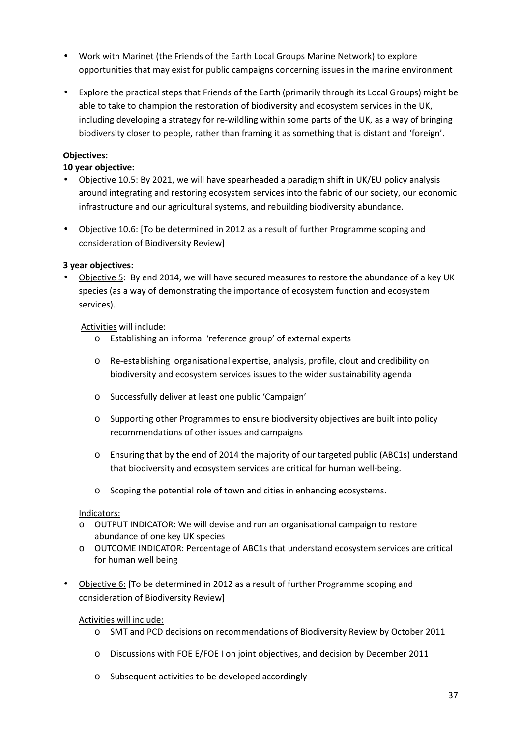- Work with Marinet (the Friends of the Earth Local Groups Marine Network) to explore opportunities that may exist for public campaigns concerning issues in the marine environment
- Explore the practical steps that Friends of the Earth (primarily through its Local Groups) might be able to take to champion the restoration of biodiversity and ecosystem services in the UK, including developing a strategy for re-wildling within some parts of the UK, as a way of bringing biodiversity closer to people, rather than framing it as something that is distant and 'foreign'.

#### **Objectives:**

#### **10 year objective:**

- Objective 10.5: By 2021, we will have spearheaded a paradigm shift in UK/EU policy analysis around integrating and restoring ecosystem services into the fabric of our society, our economic infrastructure and our agricultural systems, and rebuilding biodiversity abundance.
- Objective 10.6: [To be determined in 2012 as a result of further Programme scoping and consideration of Biodiversity Review]

#### **3 year objectives:**

• Objective 5: By end 2014, we will have secured measures to restore the abundance of a key UK species (as a way of demonstrating the importance of ecosystem function and ecosystem services).

#### Activities will include:

- o Establishing an informal 'reference group' of external experts
- o Re-establishing organisational expertise, analysis, profile, clout and credibility on biodiversity and ecosystem services issues to the wider sustainability agenda
- o Successfully deliver at least one public 'Campaign'
- o Supporting other Programmes to ensure biodiversity objectives are built into policy recommendations of other issues and campaigns
- o Ensuring that by the end of 2014 the majority of our targeted public (ABC1s) understand that biodiversity and ecosystem services are critical for human well-being.
- o Scoping the potential role of town and cities in enhancing ecosystems.

#### Indicators:

- o OUTPUT INDICATOR: We will devise and run an organisational campaign to restore abundance of one key UK species
- o OUTCOME INDICATOR: Percentage of ABC1s that understand ecosystem services are critical for human well being
- Objective 6: [To be determined in 2012 as a result of further Programme scoping and consideration of Biodiversity Review]

#### Activities will include:

- o SMT and PCD decisions on recommendations of Biodiversity Review by October 2011
- o Discussions with FOE E/FOE I on joint objectives, and decision by December 2011
- o Subsequent activities to be developed accordingly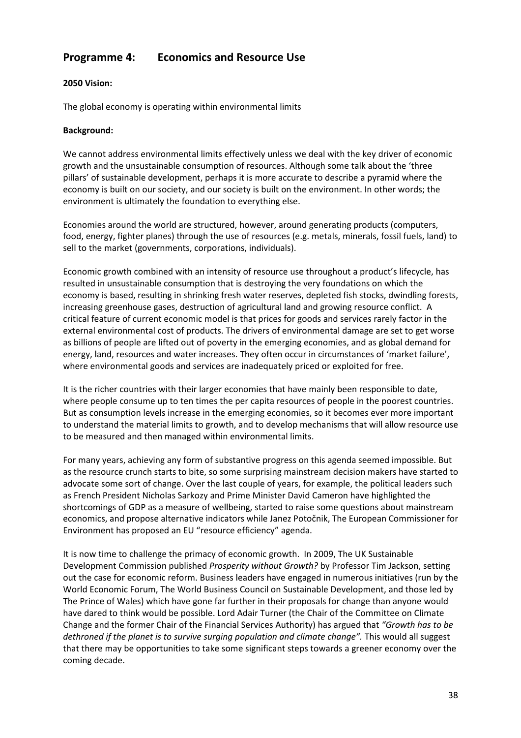# **Programme 4: Economics and Resource Use**

#### **2050 Vision:**

The global economy is operating within environmental limits

#### **Background:**

We cannot address environmental limits effectively unless we deal with the key driver of economic growth and the unsustainable consumption of resources. Although some talk about the 'three pillars' of sustainable development, perhaps it is more accurate to describe a pyramid where the economy is built on our society, and our society is built on the environment. In other words; the environment is ultimately the foundation to everything else.

Economies around the world are structured, however, around generating products (computers, food, energy, fighter planes) through the use of resources (e.g. metals, minerals, fossil fuels, land) to sell to the market (governments, corporations, individuals).

Economic growth combined with an intensity of resource use throughout a product's lifecycle, has resulted in unsustainable consumption that is destroying the very foundations on which the economy is based, resulting in shrinking fresh water reserves, depleted fish stocks, dwindling forests, increasing greenhouse gases, destruction of agricultural land and growing resource conflict. A critical feature of current economic model is that prices for goods and services rarely factor in the external environmental cost of products. The drivers of environmental damage are set to get worse as billions of people are lifted out of poverty in the emerging economies, and as global demand for energy, land, resources and water increases. They often occur in circumstances of 'market failure', where environmental goods and services are inadequately priced or exploited for free.

It is the richer countries with their larger economies that have mainly been responsible to date, where people consume up to ten times the per capita resources of people in the poorest countries. But as consumption levels increase in the emerging economies, so it becomes ever more important to understand the material limits to growth, and to develop mechanisms that will allow resource use to be measured and then managed within environmental limits.

For many years, achieving any form of substantive progress on this agenda seemed impossible. But as the resource crunch starts to bite, so some surprising mainstream decision makers have started to advocate some sort of change. Over the last couple of years, for example, the political leaders such as French President Nicholas Sarkozy and Prime Minister David Cameron have highlighted the shortcomings of GDP as a measure of wellbeing, started to raise some questions about mainstream economics, and propose alternative indicators while Janez Potočnik, The European Commissioner for Environment has proposed an EU "resource efficiency" agenda.

It is now time to challenge the primacy of economic growth. In 2009, The UK Sustainable Development Commission published *Prosperity without Growth?* by Professor Tim Jackson, setting out the case for economic reform. Business leaders have engaged in numerous initiatives (run by the World Economic Forum, The World Business Council on Sustainable Development, and those led by The Prince of Wales) which have gone far further in their proposals for change than anyone would have dared to think would be possible. Lord Adair Turner (the Chair of the Committee on Climate Change and the former Chair of the Financial Services Authority) has argued that *"Growth has to be*  dethroned if the planet is to survive surging population and climate change". This would all suggest that there may be opportunities to take some significant steps towards a greener economy over the coming decade.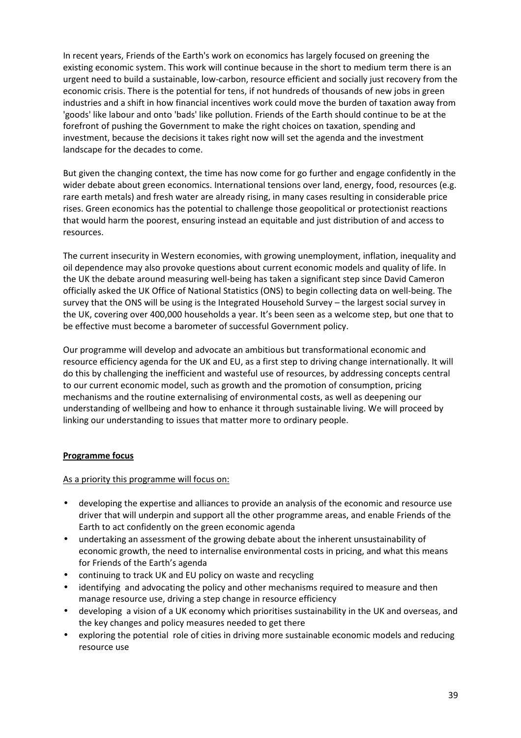In recent years, Friends of the Earth's work on economics has largely focused on greening the existing economic system. This work will continue because in the short to medium term there is an urgent need to build a sustainable, low-carbon, resource efficient and socially just recovery from the economic crisis. There is the potential for tens, if not hundreds of thousands of new jobs in green industries and a shift in how financial incentives work could move the burden of taxation away from 'goods' like labour and onto 'bads' like pollution. Friends of the Earth should continue to be at the forefront of pushing the Government to make the right choices on taxation, spending and investment, because the decisions it takes right now will set the agenda and the investment landscape for the decades to come.

But given the changing context, the time has now come for go further and engage confidently in the wider debate about green economics. International tensions over land, energy, food, resources (e.g. rare earth metals) and fresh water are already rising, in many cases resulting in considerable price rises. Green economics has the potential to challenge those geopolitical or protectionist reactions that would harm the poorest, ensuring instead an equitable and just distribution of and access to resources.

The current insecurity in Western economies, with growing unemployment, inflation, inequality and oil dependence may also provoke questions about current economic models and quality of life. In the UK the debate around measuring well-being has taken a significant step since David Cameron officially asked the UK Office of National Statistics (ONS) to begin collecting data on well-being. The survey that the ONS will be using is the Integrated Household Survey – the largest social survey in the UK, covering over 400,000 households a year. It's been seen as a welcome step, but one that to be effective must become a barometer of successful Government policy.

Our programme will develop and advocate an ambitious but transformational economic and resource efficiency agenda for the UK and EU, as a first step to driving change internationally. It will do this by challenging the inefficient and wasteful use of resources, by addressing concepts central to our current economic model, such as growth and the promotion of consumption, pricing mechanisms and the routine externalising of environmental costs, as well as deepening our understanding of wellbeing and how to enhance it through sustainable living. We will proceed by linking our understanding to issues that matter more to ordinary people.

#### **Programme focus**

As a priority this programme will focus on:

- developing the expertise and alliances to provide an analysis of the economic and resource use driver that will underpin and support all the other programme areas, and enable Friends of the Earth to act confidently on the green economic agenda
- undertaking an assessment of the growing debate about the inherent unsustainability of economic growth, the need to internalise environmental costs in pricing, and what this means for Friends of the Earth's agenda
- continuing to track UK and EU policy on waste and recycling
- identifying and advocating the policy and other mechanisms required to measure and then manage resource use, driving a step change in resource efficiency
- developing a vision of a UK economy which prioritises sustainability in the UK and overseas, and the key changes and policy measures needed to get there
- exploring the potential role of cities in driving more sustainable economic models and reducing resource use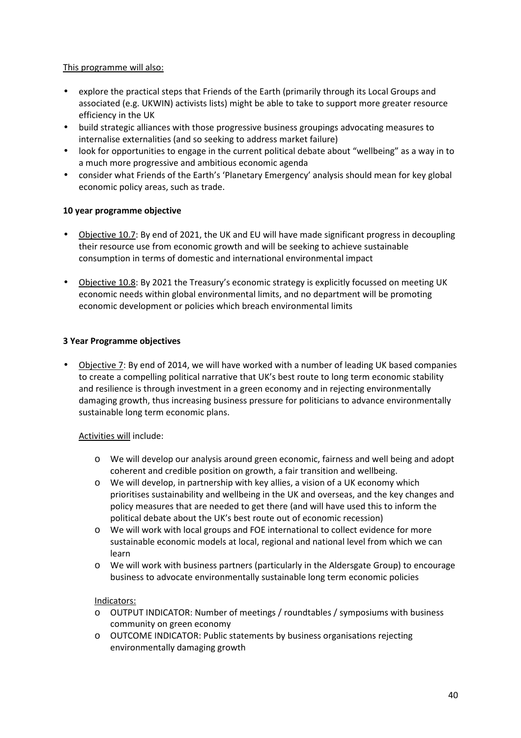#### This programme will also:

- explore the practical steps that Friends of the Earth (primarily through its Local Groups and associated (e.g. UKWIN) activists lists) might be able to take to support more greater resource efficiency in the UK
- build strategic alliances with those progressive business groupings advocating measures to internalise externalities (and so seeking to address market failure)
- look for opportunities to engage in the current political debate about "wellbeing" as a way in to a much more progressive and ambitious economic agenda
- consider what Friends of the Earth's 'Planetary Emergency' analysis should mean for key global economic policy areas, such as trade.

#### **10 year programme objective**

- Objective 10.7: By end of 2021, the UK and EU will have made significant progress in decoupling their resource use from economic growth and will be seeking to achieve sustainable consumption in terms of domestic and international environmental impact
- Objective 10.8: By 2021 the Treasury's economic strategy is explicitly focussed on meeting UK economic needs within global environmental limits, and no department will be promoting economic development or policies which breach environmental limits

#### **3 Year Programme objectives**

• Objective 7: By end of 2014, we will have worked with a number of leading UK based companies to create a compelling political narrative that UK's best route to long term economic stability and resilience is through investment in a green economy and in rejecting environmentally damaging growth, thus increasing business pressure for politicians to advance environmentally sustainable long term economic plans.

#### Activities will include:

- o We will develop our analysis around green economic, fairness and well being and adopt coherent and credible position on growth, a fair transition and wellbeing.
- o We will develop, in partnership with key allies, a vision of a UK economy which prioritises sustainability and wellbeing in the UK and overseas, and the key changes and policy measures that are needed to get there (and will have used this to inform the political debate about the UK's best route out of economic recession)
- o We will work with local groups and FOE international to collect evidence for more sustainable economic models at local, regional and national level from which we can learn
- o We will work with business partners (particularly in the Aldersgate Group) to encourage business to advocate environmentally sustainable long term economic policies

#### Indicators:

- o OUTPUT INDICATOR: Number of meetings / roundtables / symposiums with business community on green economy
- o OUTCOME INDICATOR: Public statements by business organisations rejecting environmentally damaging growth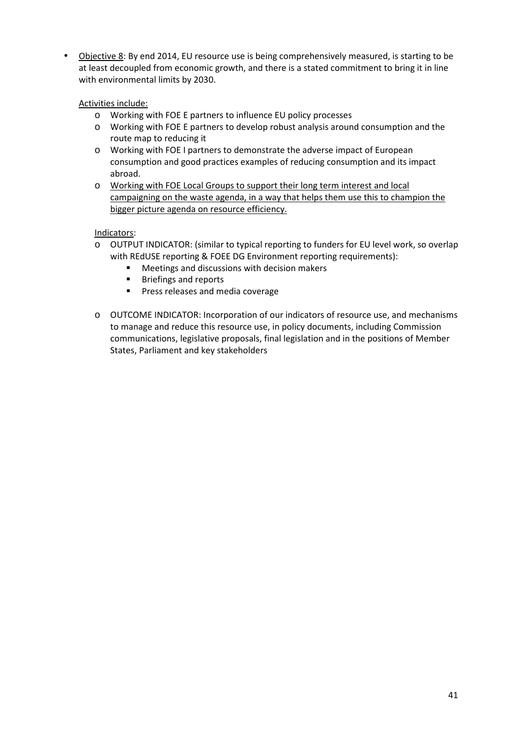• Objective 8: By end 2014, EU resource use is being comprehensively measured, is starting to be at least decoupled from economic growth, and there is a stated commitment to bring it in line with environmental limits by 2030.

Activities include:

- o Working with FOE E partners to influence EU policy processes
- o Working with FOE E partners to develop robust analysis around consumption and the route map to reducing it
- o Working with FOE I partners to demonstrate the adverse impact of European consumption and good practices examples of reducing consumption and its impact abroad.
- o Working with FOE Local Groups to support their long term interest and local campaigning on the waste agenda, in a way that helps them use this to champion the bigger picture agenda on resource efficiency.

Indicators:

- o OUTPUT INDICATOR: (similar to typical reporting to funders for EU level work, so overlap with REdUSE reporting & FOEE DG Environment reporting requirements):
	- **Meetings and discussions with decision makers**
	- **Briefings and reports**
	- **Press releases and media coverage**
- o OUTCOME INDICATOR: Incorporation of our indicators of resource use, and mechanisms to manage and reduce this resource use, in policy documents, including Commission communications, legislative proposals, final legislation and in the positions of Member States, Parliament and key stakeholders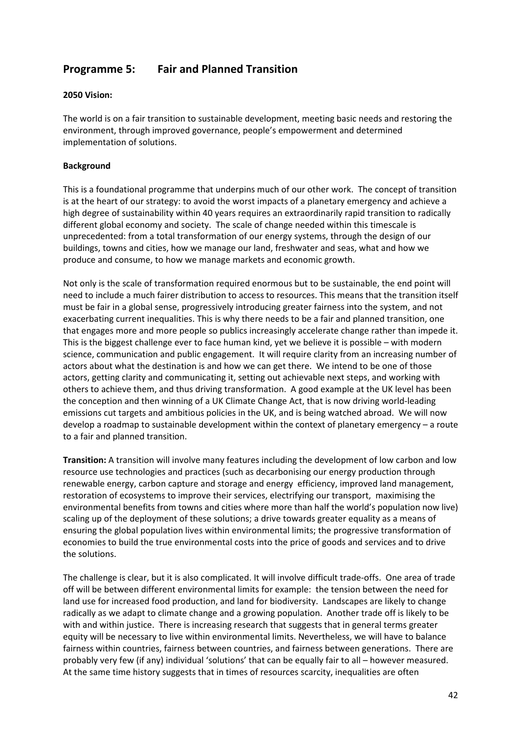# **Programme 5: Fair and Planned Transition**

#### **2050 Vision:**

The world is on a fair transition to sustainable development, meeting basic needs and restoring the environment, through improved governance, people's empowerment and determined implementation of solutions.

#### **Background**

This is a foundational programme that underpins much of our other work. The concept of transition is at the heart of our strategy: to avoid the worst impacts of a planetary emergency and achieve a high degree of sustainability within 40 years requires an extraordinarily rapid transition to radically different global economy and society. The scale of change needed within this timescale is unprecedented: from a total transformation of our energy systems, through the design of our buildings, towns and cities, how we manage our land, freshwater and seas, what and how we produce and consume, to how we manage markets and economic growth.

Not only is the scale of transformation required enormous but to be sustainable, the end point will need to include a much fairer distribution to access to resources. This means that the transition itself must be fair in a global sense, progressively introducing greater fairness into the system, and not exacerbating current inequalities. This is why there needs to be a fair and planned transition, one that engages more and more people so publics increasingly accelerate change rather than impede it. This is the biggest challenge ever to face human kind, yet we believe it is possible – with modern science, communication and public engagement. It will require clarity from an increasing number of actors about what the destination is and how we can get there. We intend to be one of those actors, getting clarity and communicating it, setting out achievable next steps, and working with others to achieve them, and thus driving transformation. A good example at the UK level has been the conception and then winning of a UK Climate Change Act, that is now driving world-leading emissions cut targets and ambitious policies in the UK, and is being watched abroad. We will now develop a roadmap to sustainable development within the context of planetary emergency – a route to a fair and planned transition.

**Transition:** A transition will involve many features including the development of low carbon and low resource use technologies and practices (such as decarbonising our energy production through renewable energy, carbon capture and storage and energy efficiency, improved land management, restoration of ecosystems to improve their services, electrifying our transport, maximising the environmental benefits from towns and cities where more than half the world's population now live) scaling up of the deployment of these solutions; a drive towards greater equality as a means of ensuring the global population lives within environmental limits; the progressive transformation of economies to build the true environmental costs into the price of goods and services and to drive the solutions.

The challenge is clear, but it is also complicated. It will involve difficult trade-offs. One area of trade off will be between different environmental limits for example: the tension between the need for land use for increased food production, and land for biodiversity. Landscapes are likely to change radically as we adapt to climate change and a growing population. Another trade off is likely to be with and within justice. There is increasing research that suggests that in general terms greater equity will be necessary to live within environmental limits. Nevertheless, we will have to balance fairness within countries, fairness between countries, and fairness between generations. There are probably very few (if any) individual 'solutions' that can be equally fair to all – however measured. At the same time history suggests that in times of resources scarcity, inequalities are often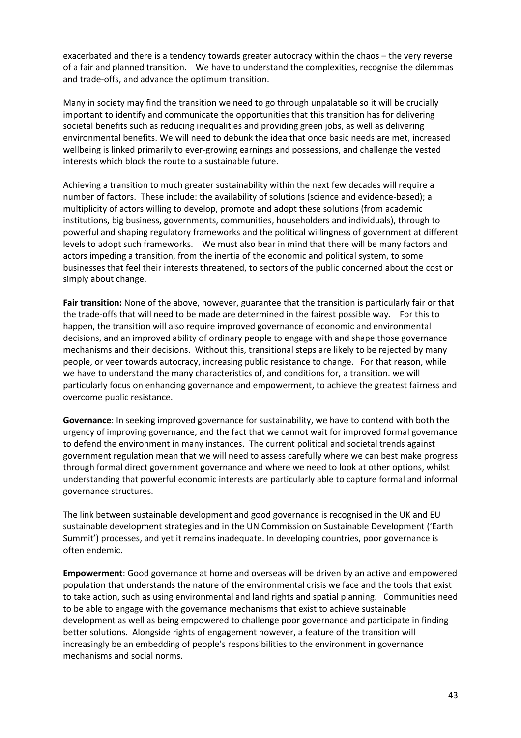exacerbated and there is a tendency towards greater autocracy within the chaos – the very reverse of a fair and planned transition. We have to understand the complexities, recognise the dilemmas and trade-offs, and advance the optimum transition.

Many in society may find the transition we need to go through unpalatable so it will be crucially important to identify and communicate the opportunities that this transition has for delivering societal benefits such as reducing inequalities and providing green jobs, as well as delivering environmental benefits. We will need to debunk the idea that once basic needs are met, increased wellbeing is linked primarily to ever-growing earnings and possessions, and challenge the vested interests which block the route to a sustainable future.

Achieving a transition to much greater sustainability within the next few decades will require a number of factors. These include: the availability of solutions (science and evidence-based); a multiplicity of actors willing to develop, promote and adopt these solutions (from academic institutions, big business, governments, communities, householders and individuals), through to powerful and shaping regulatory frameworks and the political willingness of government at different levels to adopt such frameworks. We must also bear in mind that there will be many factors and actors impeding a transition, from the inertia of the economic and political system, to some businesses that feel their interests threatened, to sectors of the public concerned about the cost or simply about change.

**Fair transition:** None of the above, however, guarantee that the transition is particularly fair or that the trade-offs that will need to be made are determined in the fairest possible way. For this to happen, the transition will also require improved governance of economic and environmental decisions, and an improved ability of ordinary people to engage with and shape those governance mechanisms and their decisions. Without this, transitional steps are likely to be rejected by many people, or veer towards autocracy, increasing public resistance to change. For that reason, while we have to understand the many characteristics of, and conditions for, a transition. we will particularly focus on enhancing governance and empowerment, to achieve the greatest fairness and overcome public resistance.

**Governance**: In seeking improved governance for sustainability, we have to contend with both the urgency of improving governance, and the fact that we cannot wait for improved formal governance to defend the environment in many instances. The current political and societal trends against government regulation mean that we will need to assess carefully where we can best make progress through formal direct government governance and where we need to look at other options, whilst understanding that powerful economic interests are particularly able to capture formal and informal governance structures.

The link between sustainable development and good governance is recognised in the UK and EU sustainable development strategies and in the UN Commission on Sustainable Development ('Earth Summit') processes, and yet it remains inadequate. In developing countries, poor governance is often endemic.

**Empowerment**: Good governance at home and overseas will be driven by an active and empowered population that understands the nature of the environmental crisis we face and the tools that exist to take action, such as using environmental and land rights and spatial planning. Communities need to be able to engage with the governance mechanisms that exist to achieve sustainable development as well as being empowered to challenge poor governance and participate in finding better solutions. Alongside rights of engagement however, a feature of the transition will increasingly be an embedding of people's responsibilities to the environment in governance mechanisms and social norms.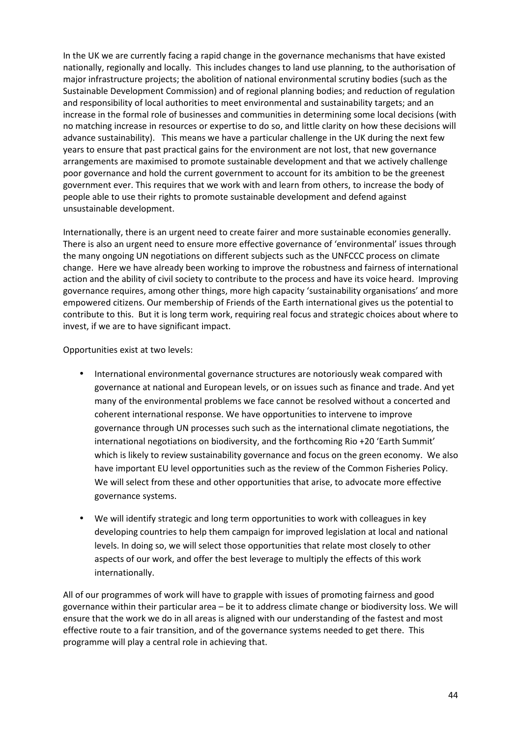In the UK we are currently facing a rapid change in the governance mechanisms that have existed nationally, regionally and locally. This includes changes to land use planning, to the authorisation of major infrastructure projects; the abolition of national environmental scrutiny bodies (such as the Sustainable Development Commission) and of regional planning bodies; and reduction of regulation and responsibility of local authorities to meet environmental and sustainability targets; and an increase in the formal role of businesses and communities in determining some local decisions (with no matching increase in resources or expertise to do so, and little clarity on how these decisions will advance sustainability). This means we have a particular challenge in the UK during the next few years to ensure that past practical gains for the environment are not lost, that new governance arrangements are maximised to promote sustainable development and that we actively challenge poor governance and hold the current government to account for its ambition to be the greenest government ever. This requires that we work with and learn from others, to increase the body of people able to use their rights to promote sustainable development and defend against unsustainable development.

Internationally, there is an urgent need to create fairer and more sustainable economies generally. There is also an urgent need to ensure more effective governance of 'environmental' issues through the many ongoing UN negotiations on different subjects such as the UNFCCC process on climate change. Here we have already been working to improve the robustness and fairness of international action and the ability of civil society to contribute to the process and have its voice heard. Improving governance requires, among other things, more high capacity 'sustainability organisations' and more empowered citizens. Our membership of Friends of the Earth international gives us the potential to contribute to this. But it is long term work, requiring real focus and strategic choices about where to invest, if we are to have significant impact.

Opportunities exist at two levels:

- International environmental governance structures are notoriously weak compared with governance at national and European levels, or on issues such as finance and trade. And yet many of the environmental problems we face cannot be resolved without a concerted and coherent international response. We have opportunities to intervene to improve governance through UN processes such such as the international climate negotiations, the international negotiations on biodiversity, and the forthcoming Rio +20 'Earth Summit' which is likely to review sustainability governance and focus on the green economy. We also have important EU level opportunities such as the review of the Common Fisheries Policy. We will select from these and other opportunities that arise, to advocate more effective governance systems.
- We will identify strategic and long term opportunities to work with colleagues in key developing countries to help them campaign for improved legislation at local and national levels. In doing so, we will select those opportunities that relate most closely to other aspects of our work, and offer the best leverage to multiply the effects of this work internationally.

All of our programmes of work will have to grapple with issues of promoting fairness and good governance within their particular area – be it to address climate change or biodiversity loss. We will ensure that the work we do in all areas is aligned with our understanding of the fastest and most effective route to a fair transition, and of the governance systems needed to get there. This programme will play a central role in achieving that.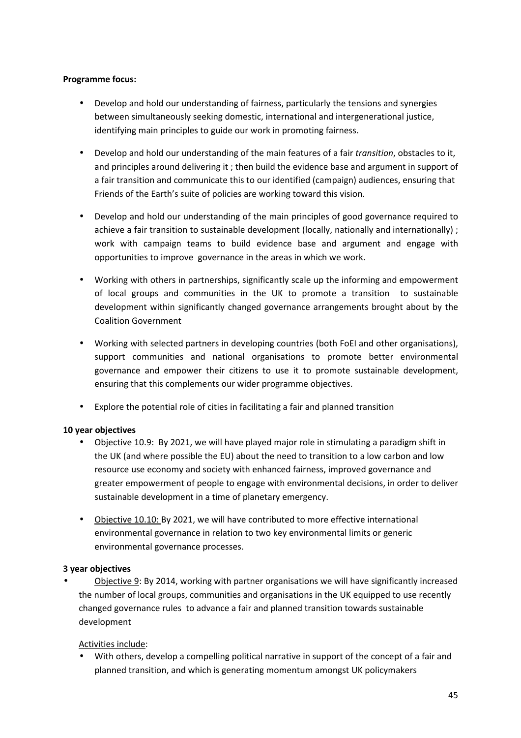#### **Programme focus:**

- Develop and hold our understanding of fairness, particularly the tensions and synergies between simultaneously seeking domestic, international and intergenerational justice, identifying main principles to guide our work in promoting fairness.
- Develop and hold our understanding of the main features of a fair *transition*, obstacles to it, and principles around delivering it ; then build the evidence base and argument in support of a fair transition and communicate this to our identified (campaign) audiences, ensuring that Friends of the Earth's suite of policies are working toward this vision.
- Develop and hold our understanding of the main principles of good governance required to achieve a fair transition to sustainable development (locally, nationally and internationally) ; work with campaign teams to build evidence base and argument and engage with opportunities to improve governance in the areas in which we work.
- Working with others in partnerships, significantly scale up the informing and empowerment of local groups and communities in the UK to promote a transition to sustainable development within significantly changed governance arrangements brought about by the Coalition Government
- Working with selected partners in developing countries (both FoEI and other organisations), support communities and national organisations to promote better environmental governance and empower their citizens to use it to promote sustainable development, ensuring that this complements our wider programme objectives.
- Explore the potential role of cities in facilitating a fair and planned transition

#### **10 year objectives**

- Objective 10.9: By 2021, we will have played major role in stimulating a paradigm shift in the UK (and where possible the EU) about the need to transition to a low carbon and low resource use economy and society with enhanced fairness, improved governance and greater empowerment of people to engage with environmental decisions, in order to deliver sustainable development in a time of planetary emergency.
- Objective 10.10: By 2021, we will have contributed to more effective international environmental governance in relation to two key environmental limits or generic environmental governance processes.

#### **3 year objectives**

• Objective 9: By 2014, working with partner organisations we will have significantly increased the number of local groups, communities and organisations in the UK equipped to use recently changed governance rules to advance a fair and planned transition towards sustainable development

#### Activities include:

• With others, develop a compelling political narrative in support of the concept of a fair and planned transition, and which is generating momentum amongst UK policymakers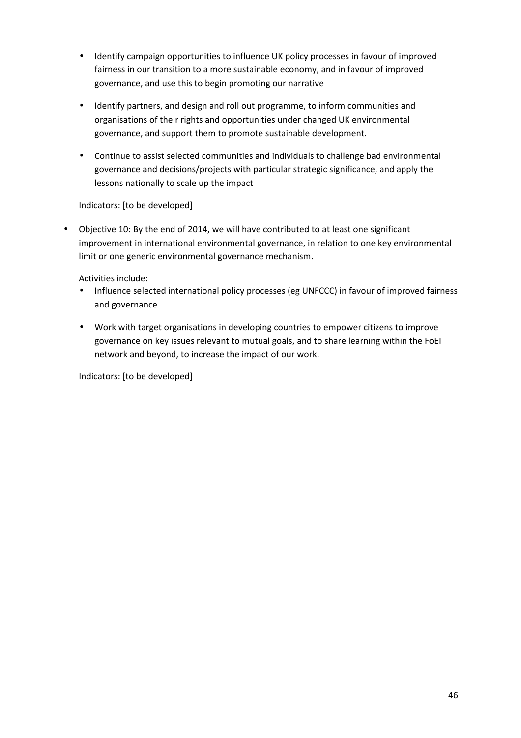- Identify campaign opportunities to influence UK policy processes in favour of improved fairness in our transition to a more sustainable economy, and in favour of improved governance, and use this to begin promoting our narrative
- Identify partners, and design and roll out programme, to inform communities and organisations of their rights and opportunities under changed UK environmental governance, and support them to promote sustainable development.
- Continue to assist selected communities and individuals to challenge bad environmental governance and decisions/projects with particular strategic significance, and apply the lessons nationally to scale up the impact

#### Indicators: [to be developed]

• Objective 10: By the end of 2014, we will have contributed to at least one significant improvement in international environmental governance, in relation to one key environmental limit or one generic environmental governance mechanism.

#### Activities include:

- Influence selected international policy processes (eg UNFCCC) in favour of improved fairness and governance
- Work with target organisations in developing countries to empower citizens to improve governance on key issues relevant to mutual goals, and to share learning within the FoEI network and beyond, to increase the impact of our work.

Indicators: [to be developed]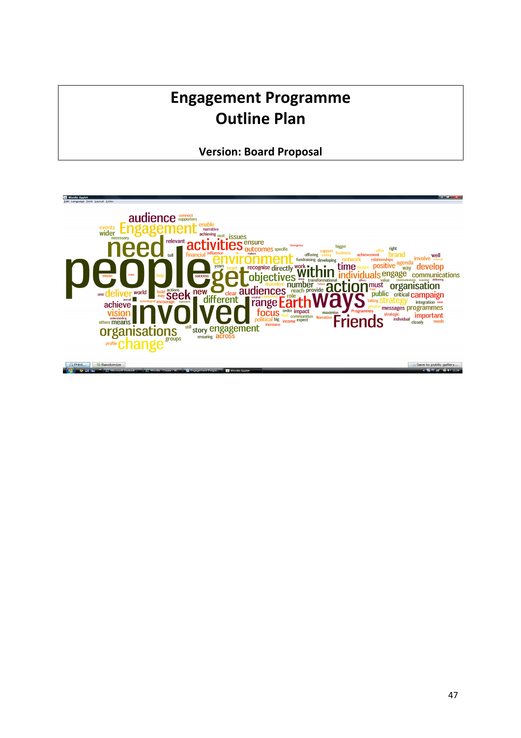# **Engagement Programme Outline Plan**

**Version: Board Proposal** 

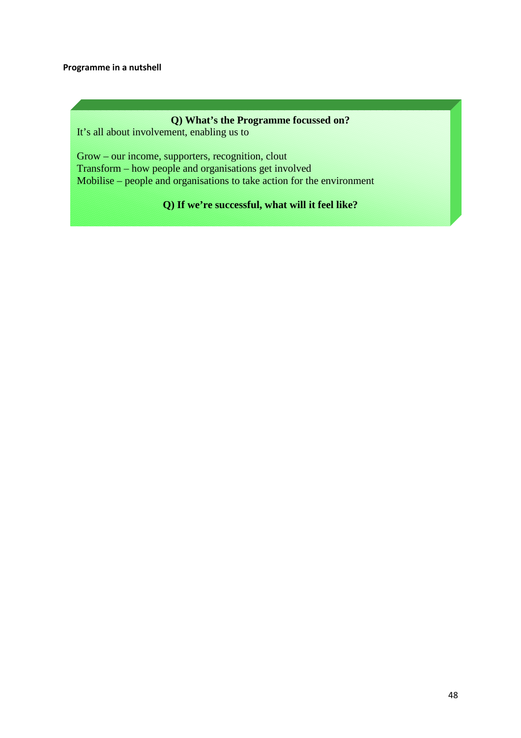#### **Q) What's the Programme focussed on?**

It's all about involvement, enabling us to

Grow – our income, supporters, recognition, clout Transform – how people and organisations get involved Mobilise – people and organisations to take action for the environment

**Q) If we're successful, what will it feel like?**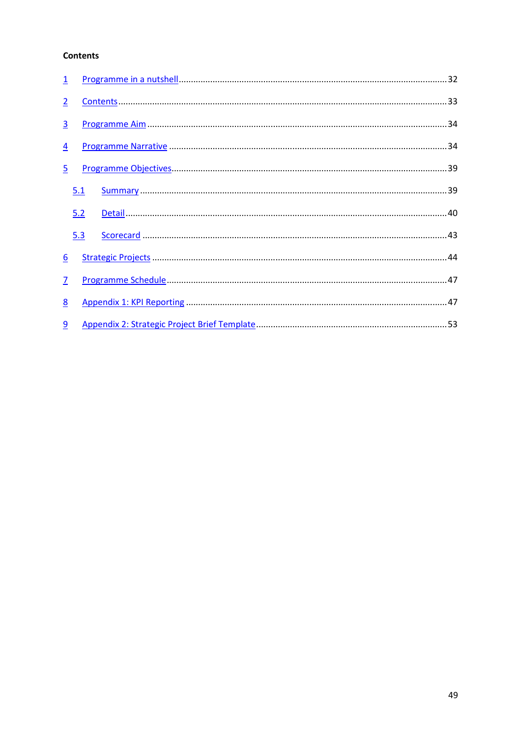#### **Contents**

| $\overline{1}$ |     |  |
|----------------|-----|--|
| $\overline{2}$ |     |  |
| $\overline{3}$ |     |  |
| $\overline{4}$ |     |  |
| $\overline{5}$ |     |  |
|                | 5.1 |  |
|                | 5.2 |  |
|                | 5.3 |  |
| 6              |     |  |
| $\overline{1}$ |     |  |
| 8              |     |  |
| 9              |     |  |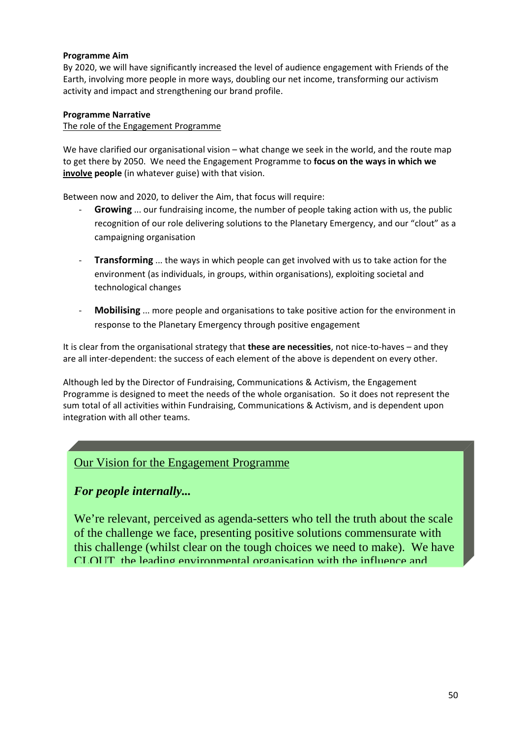#### **Programme Aim**

By 2020, we will have significantly increased the level of audience engagement with Friends of the Earth, involving more people in more ways, doubling our net income, transforming our activism activity and impact and strengthening our brand profile.

#### **Programme Narrative**

The role of the Engagement Programme

We have clarified our organisational vision – what change we seek in the world, and the route map to get there by 2050. We need the Engagement Programme to **focus on the ways in which we involve people** (in whatever guise) with that vision.

Between now and 2020, to deliver the Aim, that focus will require:

- **Growing** ... our fundraising income, the number of people taking action with us, the public recognition of our role delivering solutions to the Planetary Emergency, and our "clout" as a campaigning organisation
- **Transforming** ... the ways in which people can get involved with us to take action for the environment (as individuals, in groups, within organisations), exploiting societal and technological changes
- **Mobilising** ... more people and organisations to take positive action for the environment in response to the Planetary Emergency through positive engagement

It is clear from the organisational strategy that **these are necessities**, not nice-to-haves – and they are all inter-dependent: the success of each element of the above is dependent on every other.

Although led by the Director of Fundraising, Communications & Activism, the Engagement Programme is designed to meet the needs of the whole organisation. So it does not represent the sum total of all activities within Fundraising, Communications & Activism, and is dependent upon integration with all other teams.

# Our Vision for the Engagement Programme

# *For people internally...*

We're relevant, perceived as agenda-setters who tell the truth about the scale of the challenge we face, presenting positive solutions commensurate with this challenge (whilst clear on the tough choices we need to make). We have CLOUT, the leading environmental organisation with the influence and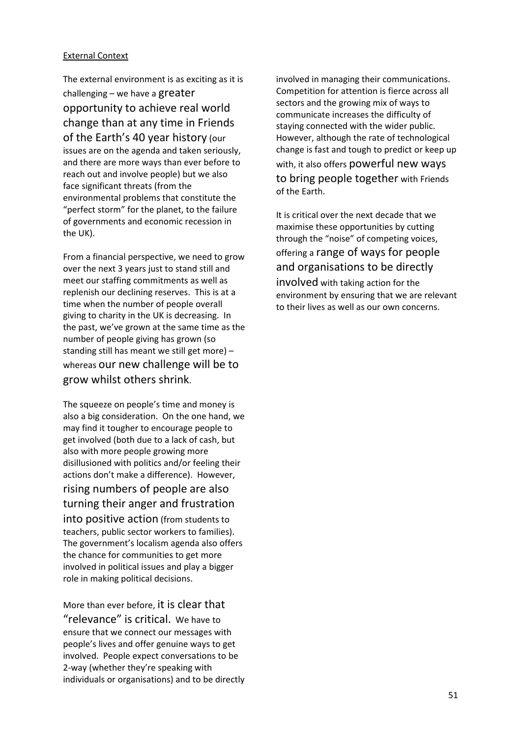#### External Context

The external environment is as exciting as it is challenging – we have a greater opportunity to achieve real world change than at any time in Friends of the Earth's 40 year history (our issues are on the agenda and taken seriously, and there are more ways than ever before to reach out and involve people) but we also face significant threats (from the environmental problems that constitute the "perfect storm" for the planet, to the failure of governments and economic recession in the UK).

From a financial perspective, we need to grow over the next 3 years just to stand still and meet our staffing commitments as well as replenish our declining reserves. This is at a time when the number of people overall giving to charity in the UK is decreasing. In the past, we've grown at the same time as the number of people giving has grown (so standing still has meant we still get more) – whereas our new challenge will be to grow whilst others shrink.

The squeeze on people's time and money is also a big consideration. On the one hand, we may find it tougher to encourage people to get involved (both due to a lack of cash, but also with more people growing more disillusioned with politics and/or feeling their actions don't make a difference). However, rising numbers of people are also turning their anger and frustration into positive action (from students to teachers, public sector workers to families). The government's localism agenda also offers the chance for communities to get more involved in political issues and play a bigger role in making political decisions.

More than ever before, it is clear that "relevance" is critical. We have to ensure that we connect our messages with people's lives and offer genuine ways to get involved. People expect conversations to be 2-way (whether they're speaking with individuals or organisations) and to be directly

involved in managing their communications. Competition for attention is fierce across all sectors and the growing mix of ways to communicate increases the difficulty of staying connected with the wider public. However, although the rate of technological change is fast and tough to predict or keep up with, it also offers powerful new ways to bring people together with Friends of the Earth.

It is critical over the next decade that we maximise these opportunities by cutting through the "noise" of competing voices, offering a range of ways for people and organisations to be directly involved with taking action for the environment by ensuring that we are relevant to their lives as well as our own concerns.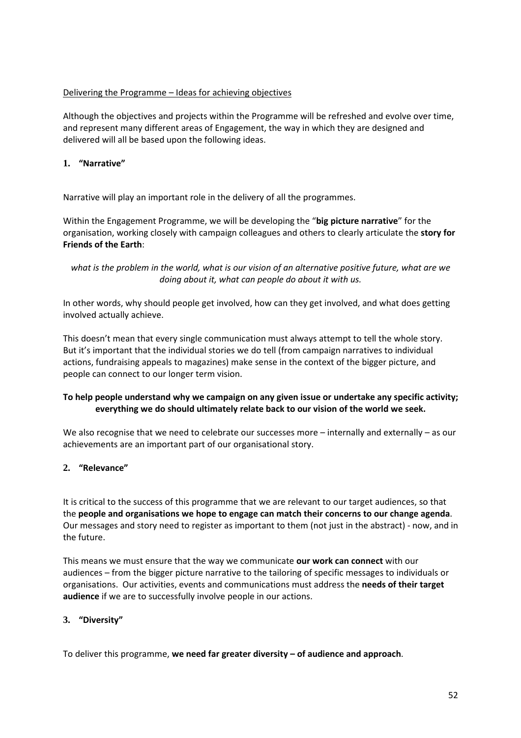#### Delivering the Programme – Ideas for achieving objectives

Although the objectives and projects within the Programme will be refreshed and evolve over time, and represent many different areas of Engagement, the way in which they are designed and delivered will all be based upon the following ideas.

#### **1. "Narrative"**

Narrative will play an important role in the delivery of all the programmes.

Within the Engagement Programme, we will be developing the "**big picture narrative**" for the organisation, working closely with campaign colleagues and others to clearly articulate the **story for Friends of the Earth**:

*what is the problem in the world, what is our vision of an alternative positive future, what are we doing about it, what can people do about it with us.* 

In other words, why should people get involved, how can they get involved, and what does getting involved actually achieve.

This doesn't mean that every single communication must always attempt to tell the whole story. But it's important that the individual stories we do tell (from campaign narratives to individual actions, fundraising appeals to magazines) make sense in the context of the bigger picture, and people can connect to our longer term vision.

#### **To help people understand why we campaign on any given issue or undertake any specific activity; everything we do should ultimately relate back to our vision of the world we seek.**

We also recognise that we need to celebrate our successes more – internally and externally – as our achievements are an important part of our organisational story.

#### **2. "Relevance"**

It is critical to the success of this programme that we are relevant to our target audiences, so that the **people and organisations we hope to engage can match their concerns to our change agenda**. Our messages and story need to register as important to them (not just in the abstract) - now, and in the future.

This means we must ensure that the way we communicate **our work can connect** with our audiences – from the bigger picture narrative to the tailoring of specific messages to individuals or organisations. Our activities, events and communications must address the **needs of their target audience** if we are to successfully involve people in our actions.

#### **3. "Diversity"**

To deliver this programme, **we need far greater diversity – of audience and approach**.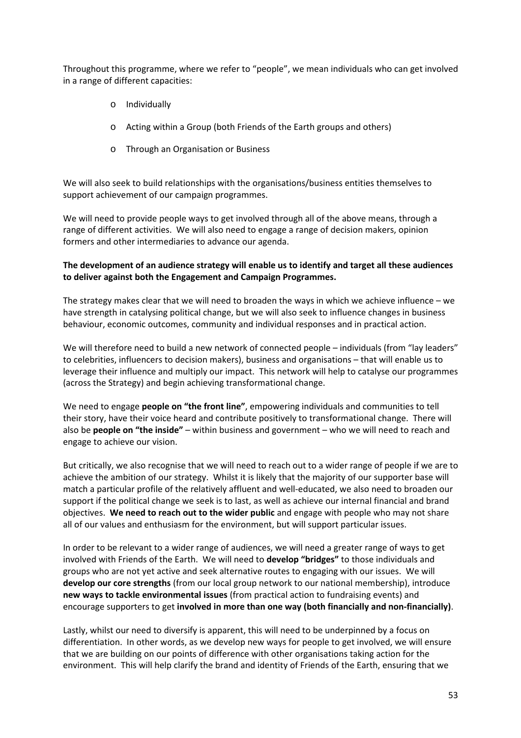Throughout this programme, where we refer to "people", we mean individuals who can get involved in a range of different capacities:

- o Individually
- o Acting within a Group (both Friends of the Earth groups and others)
- o Through an Organisation or Business

We will also seek to build relationships with the organisations/business entities themselves to support achievement of our campaign programmes.

We will need to provide people ways to get involved through all of the above means, through a range of different activities. We will also need to engage a range of decision makers, opinion formers and other intermediaries to advance our agenda.

#### **The development of an audience strategy will enable us to identify and target all these audiences to deliver against both the Engagement and Campaign Programmes.**

The strategy makes clear that we will need to broaden the ways in which we achieve influence – we have strength in catalysing political change, but we will also seek to influence changes in business behaviour, economic outcomes, community and individual responses and in practical action.

We will therefore need to build a new network of connected people – individuals (from "lay leaders" to celebrities, influencers to decision makers), business and organisations – that will enable us to leverage their influence and multiply our impact. This network will help to catalyse our programmes (across the Strategy) and begin achieving transformational change.

We need to engage **people on "the front line"**, empowering individuals and communities to tell their story, have their voice heard and contribute positively to transformational change. There will also be **people on "the inside"** – within business and government – who we will need to reach and engage to achieve our vision.

But critically, we also recognise that we will need to reach out to a wider range of people if we are to achieve the ambition of our strategy. Whilst it is likely that the majority of our supporter base will match a particular profile of the relatively affluent and well-educated, we also need to broaden our support if the political change we seek is to last, as well as achieve our internal financial and brand objectives. **We need to reach out to the wider public** and engage with people who may not share all of our values and enthusiasm for the environment, but will support particular issues.

In order to be relevant to a wider range of audiences, we will need a greater range of ways to get involved with Friends of the Earth. We will need to **develop "bridges"** to those individuals and groups who are not yet active and seek alternative routes to engaging with our issues. We will **develop our core strengths** (from our local group network to our national membership), introduce **new ways to tackle environmental issues** (from practical action to fundraising events) and encourage supporters to get **involved in more than one way (both financially and non-financially)**.

Lastly, whilst our need to diversify is apparent, this will need to be underpinned by a focus on differentiation. In other words, as we develop new ways for people to get involved, we will ensure that we are building on our points of difference with other organisations taking action for the environment. This will help clarify the brand and identity of Friends of the Earth, ensuring that we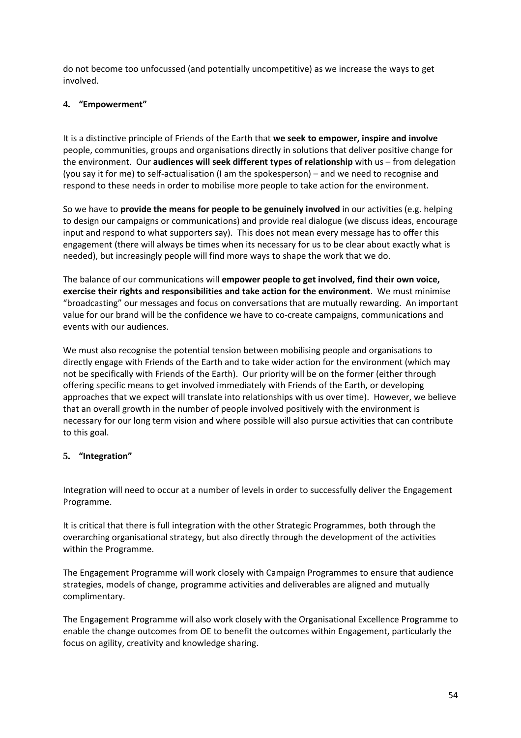do not become too unfocussed (and potentially uncompetitive) as we increase the ways to get involved.

#### **4. "Empowerment"**

It is a distinctive principle of Friends of the Earth that **we seek to empower, inspire and involve** people, communities, groups and organisations directly in solutions that deliver positive change for the environment. Our **audiences will seek different types of relationship** with us – from delegation (you say it for me) to self-actualisation (I am the spokesperson) – and we need to recognise and respond to these needs in order to mobilise more people to take action for the environment.

So we have to **provide the means for people to be genuinely involved** in our activities (e.g. helping to design our campaigns or communications) and provide real dialogue (we discuss ideas, encourage input and respond to what supporters say). This does not mean every message has to offer this engagement (there will always be times when its necessary for us to be clear about exactly what is needed), but increasingly people will find more ways to shape the work that we do.

The balance of our communications will **empower people to get involved, find their own voice, exercise their rights and responsibilities and take action for the environment**. We must minimise "broadcasting" our messages and focus on conversations that are mutually rewarding. An important value for our brand will be the confidence we have to co-create campaigns, communications and events with our audiences.

We must also recognise the potential tension between mobilising people and organisations to directly engage with Friends of the Earth and to take wider action for the environment (which may not be specifically with Friends of the Earth). Our priority will be on the former (either through offering specific means to get involved immediately with Friends of the Earth, or developing approaches that we expect will translate into relationships with us over time). However, we believe that an overall growth in the number of people involved positively with the environment is necessary for our long term vision and where possible will also pursue activities that can contribute to this goal.

#### **5. "Integration"**

Integration will need to occur at a number of levels in order to successfully deliver the Engagement Programme.

It is critical that there is full integration with the other Strategic Programmes, both through the overarching organisational strategy, but also directly through the development of the activities within the Programme.

The Engagement Programme will work closely with Campaign Programmes to ensure that audience strategies, models of change, programme activities and deliverables are aligned and mutually complimentary.

The Engagement Programme will also work closely with the Organisational Excellence Programme to enable the change outcomes from OE to benefit the outcomes within Engagement, particularly the focus on agility, creativity and knowledge sharing.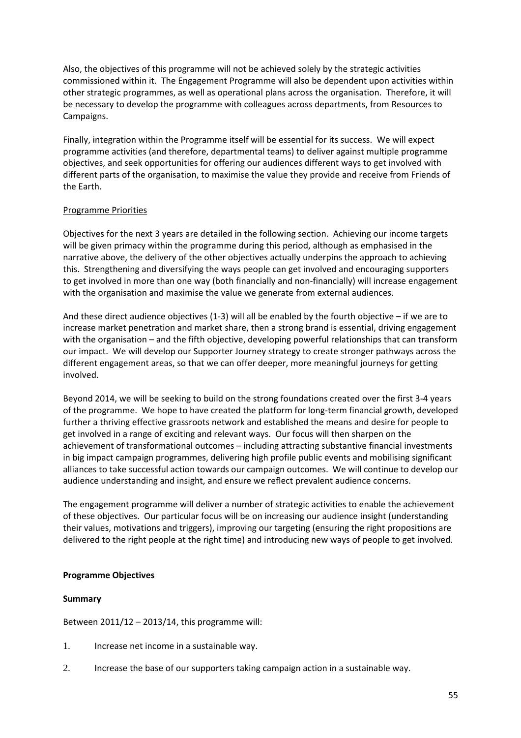Also, the objectives of this programme will not be achieved solely by the strategic activities commissioned within it. The Engagement Programme will also be dependent upon activities within other strategic programmes, as well as operational plans across the organisation. Therefore, it will be necessary to develop the programme with colleagues across departments, from Resources to Campaigns.

Finally, integration within the Programme itself will be essential for its success. We will expect programme activities (and therefore, departmental teams) to deliver against multiple programme objectives, and seek opportunities for offering our audiences different ways to get involved with different parts of the organisation, to maximise the value they provide and receive from Friends of the Earth.

#### Programme Priorities

Objectives for the next 3 years are detailed in the following section. Achieving our income targets will be given primacy within the programme during this period, although as emphasised in the narrative above, the delivery of the other objectives actually underpins the approach to achieving this. Strengthening and diversifying the ways people can get involved and encouraging supporters to get involved in more than one way (both financially and non-financially) will increase engagement with the organisation and maximise the value we generate from external audiences.

And these direct audience objectives (1-3) will all be enabled by the fourth objective – if we are to increase market penetration and market share, then a strong brand is essential, driving engagement with the organisation – and the fifth objective, developing powerful relationships that can transform our impact. We will develop our Supporter Journey strategy to create stronger pathways across the different engagement areas, so that we can offer deeper, more meaningful journeys for getting involved.

Beyond 2014, we will be seeking to build on the strong foundations created over the first 3-4 years of the programme. We hope to have created the platform for long-term financial growth, developed further a thriving effective grassroots network and established the means and desire for people to get involved in a range of exciting and relevant ways. Our focus will then sharpen on the achievement of transformational outcomes – including attracting substantive financial investments in big impact campaign programmes, delivering high profile public events and mobilising significant alliances to take successful action towards our campaign outcomes. We will continue to develop our audience understanding and insight, and ensure we reflect prevalent audience concerns.

The engagement programme will deliver a number of strategic activities to enable the achievement of these objectives. Our particular focus will be on increasing our audience insight (understanding their values, motivations and triggers), improving our targeting (ensuring the right propositions are delivered to the right people at the right time) and introducing new ways of people to get involved.

#### **Programme Objectives**

#### **Summary**

Between  $2011/12 - 2013/14$ , this programme will:

- 1. Increase net income in a sustainable way.
- 2. Increase the base of our supporters taking campaign action in a sustainable way.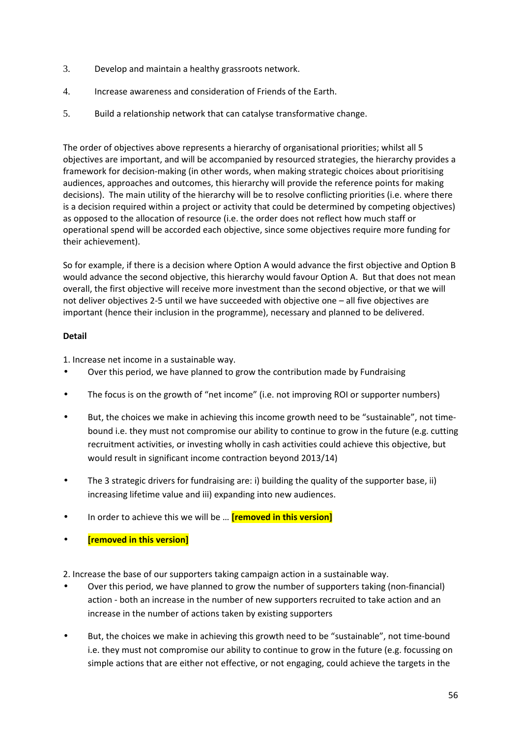- 3. Develop and maintain a healthy grassroots network.
- 4. Increase awareness and consideration of Friends of the Earth.
- 5. Build a relationship network that can catalyse transformative change.

The order of objectives above represents a hierarchy of organisational priorities; whilst all 5 objectives are important, and will be accompanied by resourced strategies, the hierarchy provides a framework for decision-making (in other words, when making strategic choices about prioritising audiences, approaches and outcomes, this hierarchy will provide the reference points for making decisions). The main utility of the hierarchy will be to resolve conflicting priorities (i.e. where there is a decision required within a project or activity that could be determined by competing objectives) as opposed to the allocation of resource (i.e. the order does not reflect how much staff or operational spend will be accorded each objective, since some objectives require more funding for their achievement).

So for example, if there is a decision where Option A would advance the first objective and Option B would advance the second objective, this hierarchy would favour Option A. But that does not mean overall, the first objective will receive more investment than the second objective, or that we will not deliver objectives 2-5 until we have succeeded with objective one – all five objectives are important (hence their inclusion in the programme), necessary and planned to be delivered.

#### **Detail**

1. Increase net income in a sustainable way.

- Over this period, we have planned to grow the contribution made by Fundraising
- The focus is on the growth of "net income" (i.e. not improving ROI or supporter numbers)
- But, the choices we make in achieving this income growth need to be "sustainable", not timebound i.e. they must not compromise our ability to continue to grow in the future (e.g. cutting recruitment activities, or investing wholly in cash activities could achieve this objective, but would result in significant income contraction beyond 2013/14)
- The 3 strategic drivers for fundraising are: i) building the quality of the supporter base, ii) increasing lifetime value and iii) expanding into new audiences.
- In order to achieve this we will be … **[removed in this version]**
- **[removed in this version]**

2. Increase the base of our supporters taking campaign action in a sustainable way.

- Over this period, we have planned to grow the number of supporters taking (non-financial) action - both an increase in the number of new supporters recruited to take action and an increase in the number of actions taken by existing supporters
- But, the choices we make in achieving this growth need to be "sustainable", not time-bound i.e. they must not compromise our ability to continue to grow in the future (e.g. focussing on simple actions that are either not effective, or not engaging, could achieve the targets in the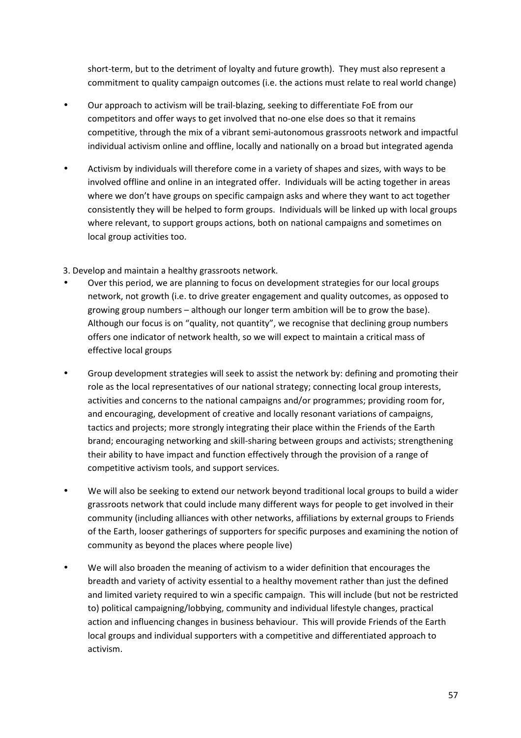short-term, but to the detriment of loyalty and future growth). They must also represent a commitment to quality campaign outcomes (i.e. the actions must relate to real world change)

- Our approach to activism will be trail-blazing, seeking to differentiate FoE from our competitors and offer ways to get involved that no-one else does so that it remains competitive, through the mix of a vibrant semi-autonomous grassroots network and impactful individual activism online and offline, locally and nationally on a broad but integrated agenda
- Activism by individuals will therefore come in a variety of shapes and sizes, with ways to be involved offline and online in an integrated offer. Individuals will be acting together in areas where we don't have groups on specific campaign asks and where they want to act together consistently they will be helped to form groups. Individuals will be linked up with local groups where relevant, to support groups actions, both on national campaigns and sometimes on local group activities too.

3. Develop and maintain a healthy grassroots network.

- Over this period, we are planning to focus on development strategies for our local groups network, not growth (i.e. to drive greater engagement and quality outcomes, as opposed to growing group numbers – although our longer term ambition will be to grow the base). Although our focus is on "quality, not quantity", we recognise that declining group numbers offers one indicator of network health, so we will expect to maintain a critical mass of effective local groups
- Group development strategies will seek to assist the network by: defining and promoting their role as the local representatives of our national strategy; connecting local group interests, activities and concerns to the national campaigns and/or programmes; providing room for, and encouraging, development of creative and locally resonant variations of campaigns, tactics and projects; more strongly integrating their place within the Friends of the Earth brand; encouraging networking and skill-sharing between groups and activists; strengthening their ability to have impact and function effectively through the provision of a range of competitive activism tools, and support services.
- We will also be seeking to extend our network beyond traditional local groups to build a wider grassroots network that could include many different ways for people to get involved in their community (including alliances with other networks, affiliations by external groups to Friends of the Earth, looser gatherings of supporters for specific purposes and examining the notion of community as beyond the places where people live)
- We will also broaden the meaning of activism to a wider definition that encourages the breadth and variety of activity essential to a healthy movement rather than just the defined and limited variety required to win a specific campaign. This will include (but not be restricted to) political campaigning/lobbying, community and individual lifestyle changes, practical action and influencing changes in business behaviour. This will provide Friends of the Earth local groups and individual supporters with a competitive and differentiated approach to activism.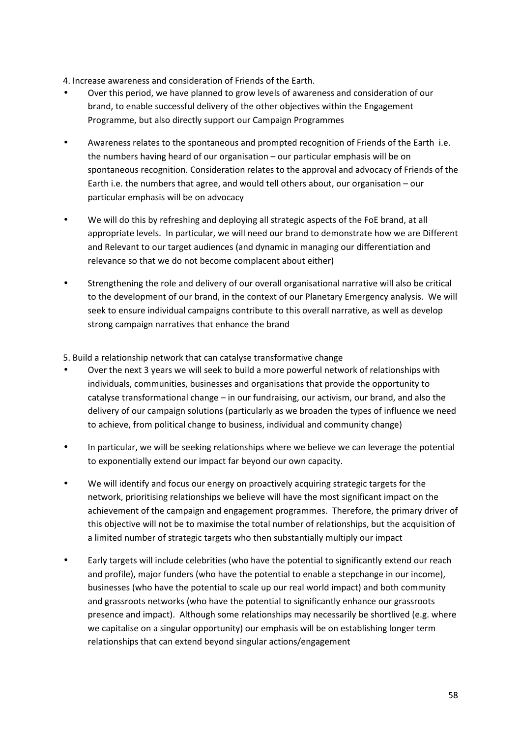4. Increase awareness and consideration of Friends of the Earth.

- Over this period, we have planned to grow levels of awareness and consideration of our brand, to enable successful delivery of the other objectives within the Engagement Programme, but also directly support our Campaign Programmes
- Awareness relates to the spontaneous and prompted recognition of Friends of the Earth i.e. the numbers having heard of our organisation – our particular emphasis will be on spontaneous recognition. Consideration relates to the approval and advocacy of Friends of the Earth i.e. the numbers that agree, and would tell others about, our organisation – our particular emphasis will be on advocacy
- We will do this by refreshing and deploying all strategic aspects of the FoE brand, at all appropriate levels. In particular, we will need our brand to demonstrate how we are Different and Relevant to our target audiences (and dynamic in managing our differentiation and relevance so that we do not become complacent about either)
- Strengthening the role and delivery of our overall organisational narrative will also be critical to the development of our brand, in the context of our Planetary Emergency analysis. We will seek to ensure individual campaigns contribute to this overall narrative, as well as develop strong campaign narratives that enhance the brand

5. Build a relationship network that can catalyse transformative change

- Over the next 3 years we will seek to build a more powerful network of relationships with individuals, communities, businesses and organisations that provide the opportunity to catalyse transformational change – in our fundraising, our activism, our brand, and also the delivery of our campaign solutions (particularly as we broaden the types of influence we need to achieve, from political change to business, individual and community change)
- In particular, we will be seeking relationships where we believe we can leverage the potential to exponentially extend our impact far beyond our own capacity.
- We will identify and focus our energy on proactively acquiring strategic targets for the network, prioritising relationships we believe will have the most significant impact on the achievement of the campaign and engagement programmes. Therefore, the primary driver of this objective will not be to maximise the total number of relationships, but the acquisition of a limited number of strategic targets who then substantially multiply our impact
- Early targets will include celebrities (who have the potential to significantly extend our reach and profile), major funders (who have the potential to enable a stepchange in our income), businesses (who have the potential to scale up our real world impact) and both community and grassroots networks (who have the potential to significantly enhance our grassroots presence and impact). Although some relationships may necessarily be shortlived (e.g. where we capitalise on a singular opportunity) our emphasis will be on establishing longer term relationships that can extend beyond singular actions/engagement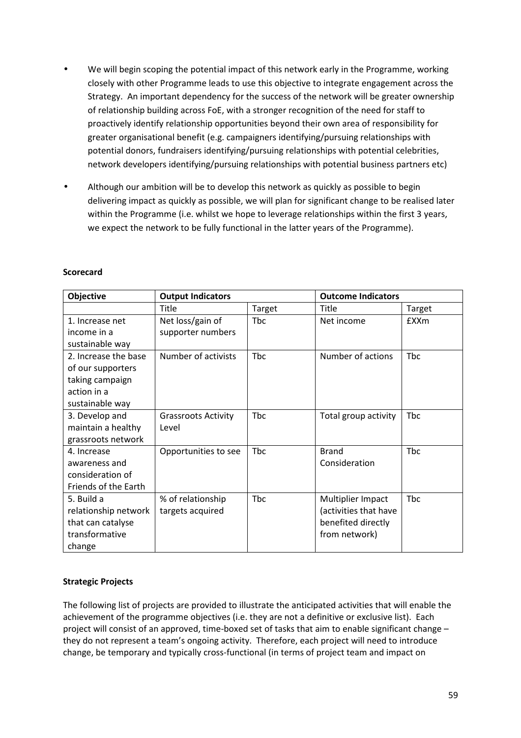- We will begin scoping the potential impact of this network early in the Programme, working closely with other Programme leads to use this objective to integrate engagement across the Strategy. An important dependency for the success of the network will be greater ownership of relationship building across FoE, with a stronger recognition of the need for staff to proactively identify relationship opportunities beyond their own area of responsibility for greater organisational benefit (e.g. campaigners identifying/pursuing relationships with potential donors, fundraisers identifying/pursuing relationships with potential celebrities, network developers identifying/pursuing relationships with potential business partners etc)
- Although our ambition will be to develop this network as quickly as possible to begin delivering impact as quickly as possible, we will plan for significant change to be realised later within the Programme (i.e. whilst we hope to leverage relationships within the first 3 years, we expect the network to be fully functional in the latter years of the Programme).

| Objective                                                                                      | <b>Output Indicators</b>              |        | <b>Outcome Indicators</b>                                                         |             |
|------------------------------------------------------------------------------------------------|---------------------------------------|--------|-----------------------------------------------------------------------------------|-------------|
|                                                                                                | Title                                 | Target | Title                                                                             | Target      |
| 1. Increase net<br>income in a<br>sustainable way                                              | Net loss/gain of<br>supporter numbers | Tbc    | Net income                                                                        | <b>£XXm</b> |
| 2. Increase the base<br>of our supporters<br>taking campaign<br>action in a<br>sustainable way | Number of activists                   | Tbc    | Number of actions                                                                 | Tbc         |
| 3. Develop and<br>maintain a healthy<br>grassroots network                                     | <b>Grassroots Activity</b><br>Level   | Tbc    | Total group activity                                                              | <b>Tbc</b>  |
| 4. Increase<br>awareness and<br>consideration of<br>Friends of the Earth                       | Opportunities to see                  | Tbc    | <b>Brand</b><br>Consideration                                                     | Tbc         |
| 5. Build a<br>relationship network<br>that can catalyse<br>transformative<br>change            | % of relationship<br>targets acquired | Tbc    | Multiplier Impact<br>(activities that have<br>benefited directly<br>from network) | Tbc         |

#### **Scorecard**

#### **Strategic Projects**

The following list of projects are provided to illustrate the anticipated activities that will enable the achievement of the programme objectives (i.e. they are not a definitive or exclusive list). Each project will consist of an approved, time-boxed set of tasks that aim to enable significant change – they do not represent a team's ongoing activity. Therefore, each project will need to introduce change, be temporary and typically cross-functional (in terms of project team and impact on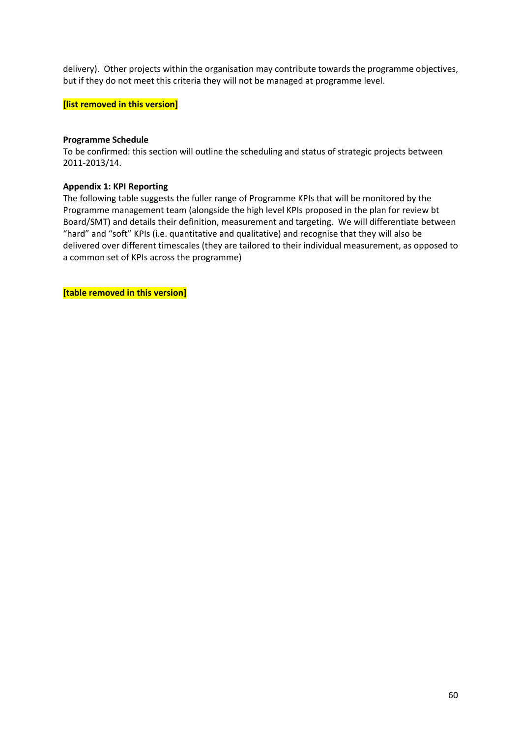delivery). Other projects within the organisation may contribute towards the programme objectives, but if they do not meet this criteria they will not be managed at programme level.

#### **[list removed in this version]**

#### **Programme Schedule**

To be confirmed: this section will outline the scheduling and status of strategic projects between 2011-2013/14.

#### **Appendix 1: KPI Reporting**

The following table suggests the fuller range of Programme KPIs that will be monitored by the Programme management team (alongside the high level KPIs proposed in the plan for review bt Board/SMT) and details their definition, measurement and targeting. We will differentiate between "hard" and "soft" KPIs (i.e. quantitative and qualitative) and recognise that they will also be delivered over different timescales (they are tailored to their individual measurement, as opposed to a common set of KPIs across the programme)

**[table removed in this version]**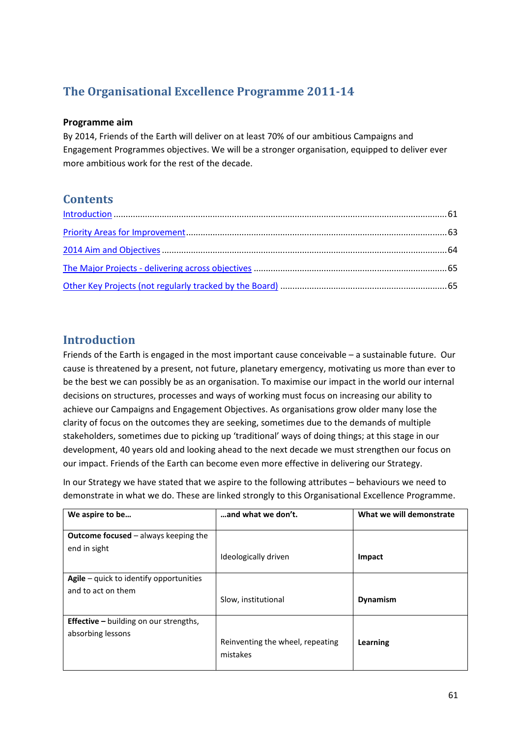# **The Organisational Excellence Programme 2011-14**

#### **Programme aim**

By 2014, Friends of the Earth will deliver on at least 70% of our ambitious Campaigns and Engagement Programmes objectives. We will be a stronger organisation, equipped to deliver ever more ambitious work for the rest of the decade.

# **Contents**

# **Introduction**

Friends of the Earth is engaged in the most important cause conceivable – a sustainable future. Our cause is threatened by a present, not future, planetary emergency, motivating us more than ever to be the best we can possibly be as an organisation. To maximise our impact in the world our internal decisions on structures, processes and ways of working must focus on increasing our ability to achieve our Campaigns and Engagement Objectives. As organisations grow older many lose the clarity of focus on the outcomes they are seeking, sometimes due to the demands of multiple stakeholders, sometimes due to picking up 'traditional' ways of doing things; at this stage in our development, 40 years old and looking ahead to the next decade we must strengthen our focus on our impact. Friends of the Earth can become even more effective in delivering our Strategy.

In our Strategy we have stated that we aspire to the following attributes – behaviours we need to demonstrate in what we do. These are linked strongly to this Organisational Excellence Programme.

| We aspire to be                                                    | and what we don't.                           | What we will demonstrate |
|--------------------------------------------------------------------|----------------------------------------------|--------------------------|
| <b>Outcome focused</b> $-$ always keeping the<br>end in sight      | Ideologically driven                         | Impact                   |
| Agile $-$ quick to identify opportunities<br>and to act on them    | Slow, institutional                          | <b>Dynamism</b>          |
| <b>Effective</b> – building on our strengths,<br>absorbing lessons | Reinventing the wheel, repeating<br>mistakes | Learning                 |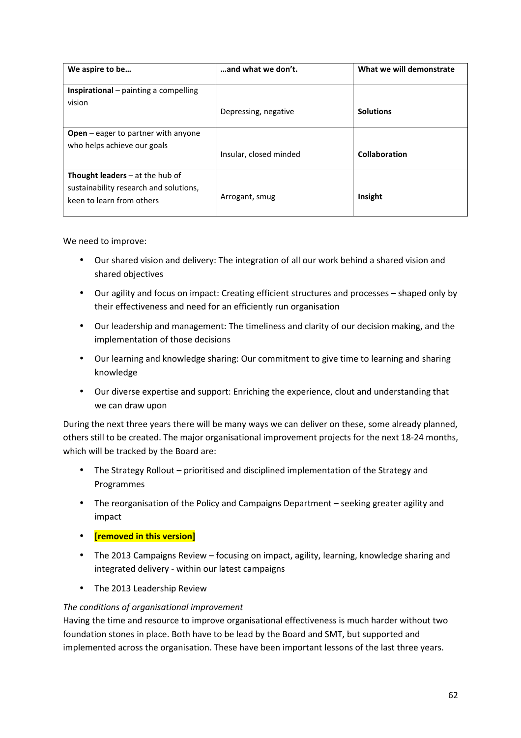| We aspire to be                            | and what we don't.     | What we will demonstrate |
|--------------------------------------------|------------------------|--------------------------|
|                                            |                        |                          |
| Inspirational - painting a compelling      |                        |                          |
| vision                                     |                        |                          |
|                                            | Depressing, negative   | <b>Solutions</b>         |
|                                            |                        |                          |
| <b>Open</b> – eager to partner with anyone |                        |                          |
| who helps achieve our goals                | Insular, closed minded | Collaboration            |
|                                            |                        |                          |
| <b>Thought leaders</b> $-$ at the hub of   |                        |                          |
| sustainability research and solutions,     |                        |                          |
| keen to learn from others                  | Arrogant, smug         | Insight                  |
|                                            |                        |                          |

We need to improve:

- Our shared vision and delivery: The integration of all our work behind a shared vision and shared objectives
- Our agility and focus on impact: Creating efficient structures and processes shaped only by their effectiveness and need for an efficiently run organisation
- Our leadership and management: The timeliness and clarity of our decision making, and the implementation of those decisions
- Our learning and knowledge sharing: Our commitment to give time to learning and sharing knowledge
- Our diverse expertise and support: Enriching the experience, clout and understanding that we can draw upon

During the next three years there will be many ways we can deliver on these, some already planned, others still to be created. The major organisational improvement projects for the next 18-24 months, which will be tracked by the Board are:

- The Strategy Rollout prioritised and disciplined implementation of the Strategy and Programmes
- The reorganisation of the Policy and Campaigns Department seeking greater agility and impact
- **[removed in this version]**
- The 2013 Campaigns Review focusing on impact, agility, learning, knowledge sharing and integrated delivery - within our latest campaigns
- The 2013 Leadership Review

#### *The conditions of organisational improvement*

Having the time and resource to improve organisational effectiveness is much harder without two foundation stones in place. Both have to be lead by the Board and SMT, but supported and implemented across the organisation. These have been important lessons of the last three years.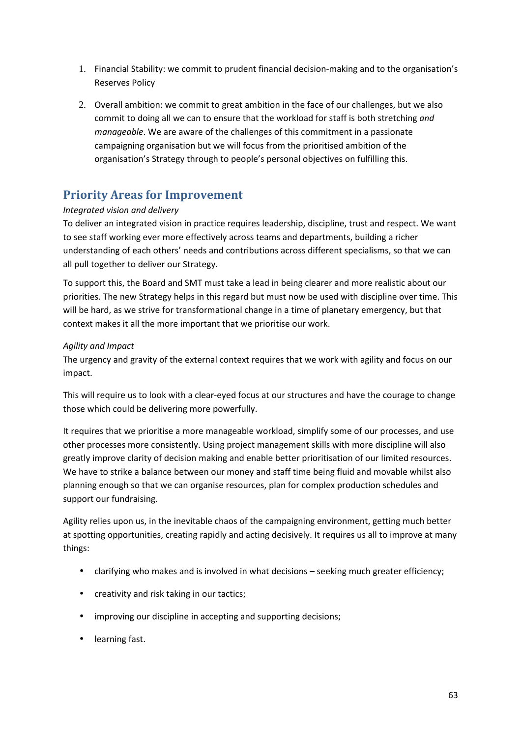- 1. Financial Stability: we commit to prudent financial decision-making and to the organisation's Reserves Policy
- 2. Overall ambition: we commit to great ambition in the face of our challenges, but we also commit to doing all we can to ensure that the workload for staff is both stretching *and manageable*. We are aware of the challenges of this commitment in a passionate campaigning organisation but we will focus from the prioritised ambition of the organisation's Strategy through to people's personal objectives on fulfilling this.

# **Priority Areas for Improvement**

#### *Integrated vision and delivery*

To deliver an integrated vision in practice requires leadership, discipline, trust and respect. We want to see staff working ever more effectively across teams and departments, building a richer understanding of each others' needs and contributions across different specialisms, so that we can all pull together to deliver our Strategy.

To support this, the Board and SMT must take a lead in being clearer and more realistic about our priorities. The new Strategy helps in this regard but must now be used with discipline over time. This will be hard, as we strive for transformational change in a time of planetary emergency, but that context makes it all the more important that we prioritise our work.

#### *Agility and Impact*

The urgency and gravity of the external context requires that we work with agility and focus on our impact.

This will require us to look with a clear-eyed focus at our structures and have the courage to change those which could be delivering more powerfully.

It requires that we prioritise a more manageable workload, simplify some of our processes, and use other processes more consistently. Using project management skills with more discipline will also greatly improve clarity of decision making and enable better prioritisation of our limited resources. We have to strike a balance between our money and staff time being fluid and movable whilst also planning enough so that we can organise resources, plan for complex production schedules and support our fundraising.

Agility relies upon us, in the inevitable chaos of the campaigning environment, getting much better at spotting opportunities, creating rapidly and acting decisively. It requires us all to improve at many things:

- clarifying who makes and is involved in what decisions seeking much greater efficiency;
- creativity and risk taking in our tactics;
- improving our discipline in accepting and supporting decisions;
- learning fast.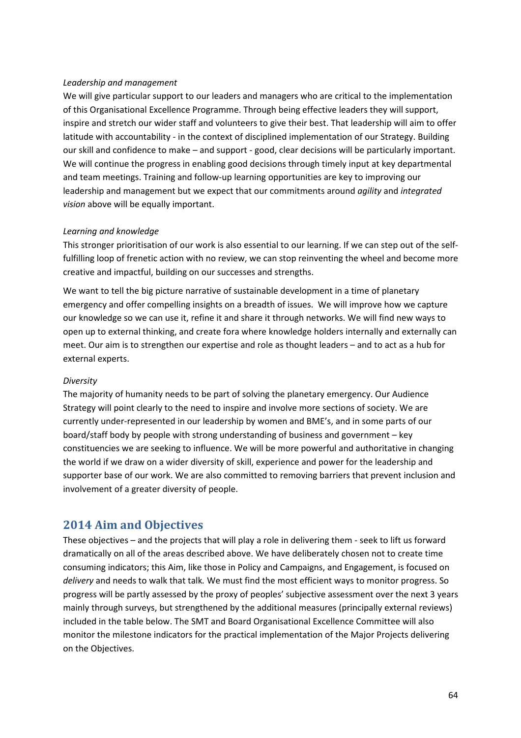#### *Leadership and management*

We will give particular support to our leaders and managers who are critical to the implementation of this Organisational Excellence Programme. Through being effective leaders they will support, inspire and stretch our wider staff and volunteers to give their best. That leadership will aim to offer latitude with accountability - in the context of disciplined implementation of our Strategy. Building our skill and confidence to make – and support - good, clear decisions will be particularly important. We will continue the progress in enabling good decisions through timely input at key departmental and team meetings. Training and follow-up learning opportunities are key to improving our leadership and management but we expect that our commitments around *agility* and *integrated vision* above will be equally important.

#### *Learning and knowledge*

This stronger prioritisation of our work is also essential to our learning. If we can step out of the selffulfilling loop of frenetic action with no review, we can stop reinventing the wheel and become more creative and impactful, building on our successes and strengths.

We want to tell the big picture narrative of sustainable development in a time of planetary emergency and offer compelling insights on a breadth of issues. We will improve how we capture our knowledge so we can use it, refine it and share it through networks. We will find new ways to open up to external thinking, and create fora where knowledge holders internally and externally can meet. Our aim is to strengthen our expertise and role as thought leaders – and to act as a hub for external experts.

#### *Diversity*

The majority of humanity needs to be part of solving the planetary emergency. Our Audience Strategy will point clearly to the need to inspire and involve more sections of society. We are currently under-represented in our leadership by women and BME's, and in some parts of our board/staff body by people with strong understanding of business and government – key constituencies we are seeking to influence. We will be more powerful and authoritative in changing the world if we draw on a wider diversity of skill, experience and power for the leadership and supporter base of our work. We are also committed to removing barriers that prevent inclusion and involvement of a greater diversity of people.

# **2014 Aim and Objectives**

These objectives – and the projects that will play a role in delivering them - seek to lift us forward dramatically on all of the areas described above. We have deliberately chosen not to create time consuming indicators; this Aim, like those in Policy and Campaigns, and Engagement, is focused on *delivery* and needs to walk that talk*.* We must find the most efficient ways to monitor progress. So progress will be partly assessed by the proxy of peoples' subjective assessment over the next 3 years mainly through surveys, but strengthened by the additional measures (principally external reviews) included in the table below. The SMT and Board Organisational Excellence Committee will also monitor the milestone indicators for the practical implementation of the Major Projects delivering on the Objectives.